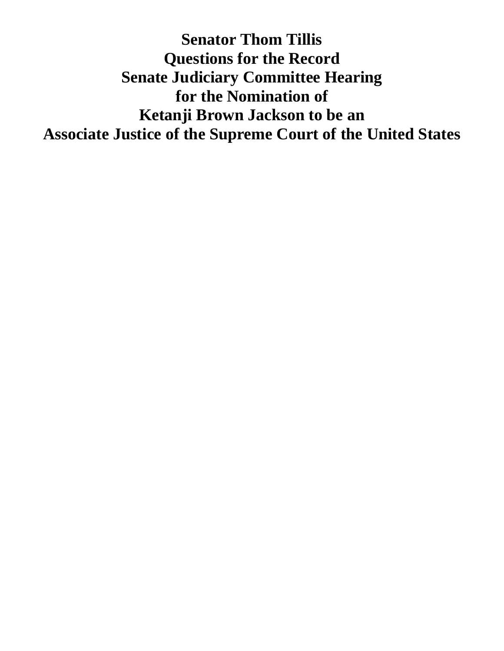**Senator Thom Tillis Questions for the Record Senate Judiciary Committee Hearing for the Nomination of Ketanji Brown Jackson to be an Associate Justice of the Supreme Court of the United States**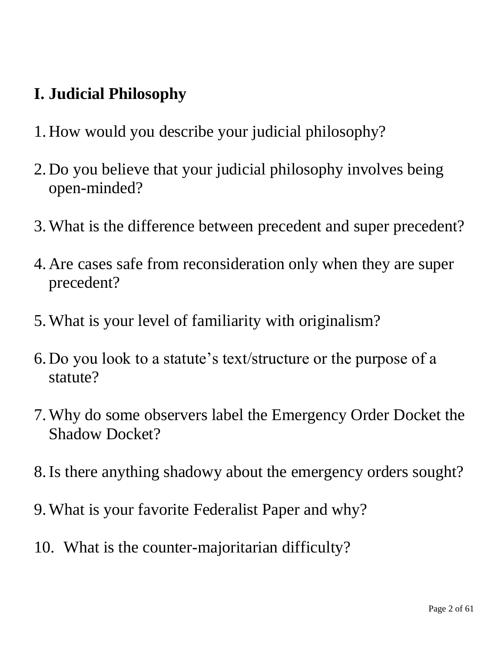## **I. Judicial Philosophy**

- 1. How would you describe your judicial philosophy?
- 2. Do you believe that your judicial philosophy involves being open-minded?
- 3.What is the difference between precedent and super precedent?
- 4. Are cases safe from reconsideration only when they are super precedent?
- 5.What is your level of familiarity with originalism?
- 6. Do you look to a statute's text/structure or the purpose of a statute?
- 7.Why do some observers label the Emergency Order Docket the Shadow Docket?
- 8.Is there anything shadowy about the emergency orders sought?
- 9.What is your favorite Federalist Paper and why?
- 10. What is the counter-majoritarian difficulty?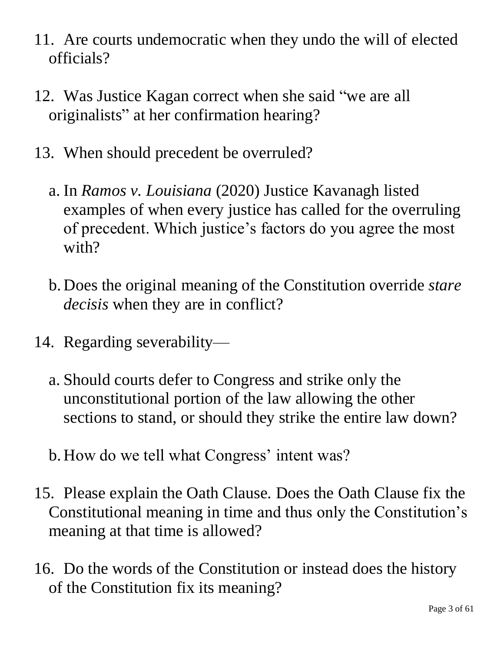- 11. Are courts undemocratic when they undo the will of elected officials?
- 12. Was Justice Kagan correct when she said "we are all originalists" at her confirmation hearing?
- 13. When should precedent be overruled?
	- a. In *Ramos v. Louisiana* (2020) Justice Kavanagh listed examples of when every justice has called for the overruling of precedent. Which justice's factors do you agree the most with?
	- b. Does the original meaning of the Constitution override *stare decisis* when they are in conflict?
- 14. Regarding severability
	- a. Should courts defer to Congress and strike only the unconstitutional portion of the law allowing the other sections to stand, or should they strike the entire law down?
	- b. How do we tell what Congress' intent was?
- 15. Please explain the Oath Clause. Does the Oath Clause fix the Constitutional meaning in time and thus only the Constitution's meaning at that time is allowed?
- 16. Do the words of the Constitution or instead does the history of the Constitution fix its meaning?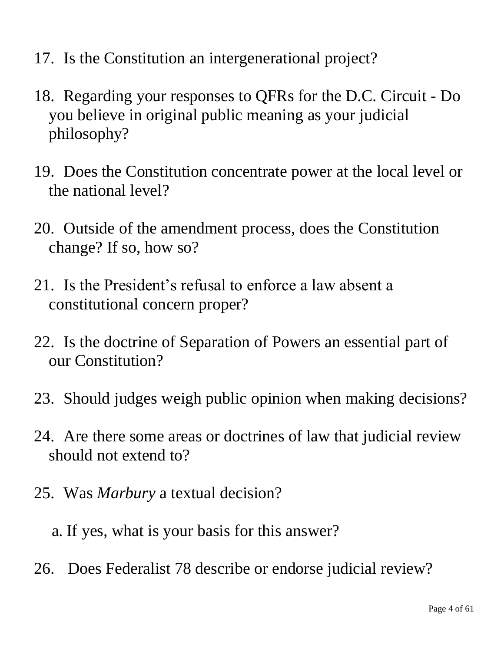- 17. Is the Constitution an intergenerational project?
- 18. Regarding your responses to QFRs for the D.C. Circuit Do you believe in original public meaning as your judicial philosophy?
- 19. Does the Constitution concentrate power at the local level or the national level?
- 20. Outside of the amendment process, does the Constitution change? If so, how so?
- 21. Is the President's refusal to enforce a law absent a constitutional concern proper?
- 22. Is the doctrine of Separation of Powers an essential part of our Constitution?
- 23. Should judges weigh public opinion when making decisions?
- 24. Are there some areas or doctrines of law that judicial review should not extend to?
- 25. Was *Marbury* a textual decision?
	- a. If yes, what is your basis for this answer?
- 26. Does Federalist 78 describe or endorse judicial review?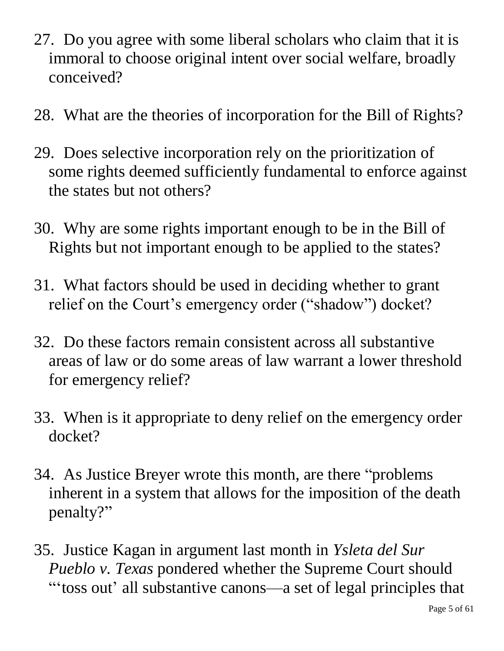- 27. Do you agree with some liberal scholars who claim that it is immoral to choose original intent over social welfare, broadly conceived?
- 28. What are the theories of incorporation for the Bill of Rights?
- 29. Does selective incorporation rely on the prioritization of some rights deemed sufficiently fundamental to enforce against the states but not others?
- 30. Why are some rights important enough to be in the Bill of Rights but not important enough to be applied to the states?
- 31. What factors should be used in deciding whether to grant relief on the Court's emergency order ("shadow") docket?
- 32. Do these factors remain consistent across all substantive areas of law or do some areas of law warrant a lower threshold for emergency relief?
- 33. When is it appropriate to deny relief on the emergency order docket?
- 34. As Justice Breyer wrote this month, are there "problems inherent in a system that allows for the imposition of the death penalty?"
- 35. Justice Kagan in argument last month in *Ysleta del Sur Pueblo v. Texas* pondered whether the Supreme Court should "'toss out' all substantive canons—a set of legal principles that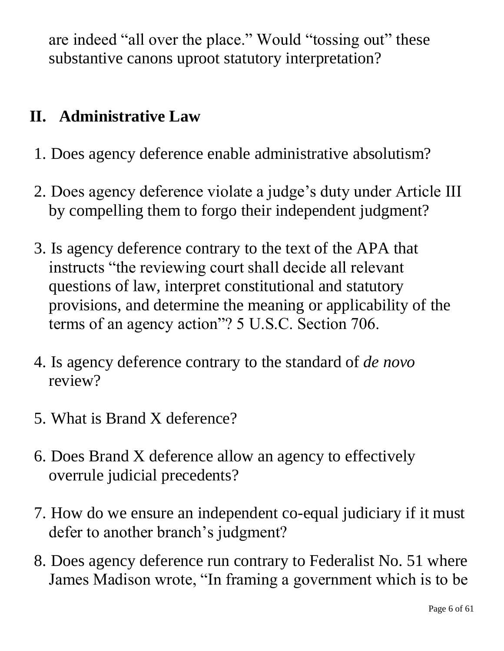are indeed "all over the place." Would "tossing out" these substantive canons uproot statutory interpretation?

### **II. Administrative Law**

- 1. Does agency deference enable administrative absolutism?
- 2. Does agency deference violate a judge's duty under Article III by compelling them to forgo their independent judgment?
- 3. Is agency deference contrary to the text of the APA that instructs "the reviewing court shall decide all relevant questions of law, interpret constitutional and statutory provisions, and determine the meaning or applicability of the terms of an agency action"? 5 U.S.C. Section 706.
- 4. Is agency deference contrary to the standard of *de novo*  review?
- 5. What is Brand X deference?
- 6. Does Brand X deference allow an agency to effectively overrule judicial precedents?
- 7. How do we ensure an independent co-equal judiciary if it must defer to another branch's judgment?
- 8. Does agency deference run contrary to Federalist No. 51 where James Madison wrote, "In framing a government which is to be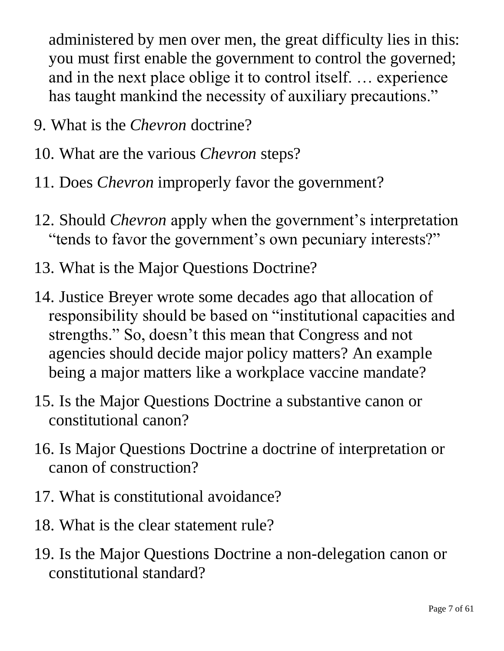administered by men over men, the great difficulty lies in this: you must first enable the government to control the governed; and in the next place oblige it to control itself. … experience has taught mankind the necessity of auxiliary precautions."

- 9. What is the *Chevron* doctrine?
- 10. What are the various *Chevron* steps?
- 11. Does *Chevron* improperly favor the government?
- 12. Should *Chevron* apply when the government's interpretation "tends to favor the government's own pecuniary interests?"
- 13. What is the Major Questions Doctrine?
- 14. Justice Breyer wrote some decades ago that allocation of responsibility should be based on "institutional capacities and strengths." So, doesn't this mean that Congress and not agencies should decide major policy matters? An example being a major matters like a workplace vaccine mandate?
- 15. Is the Major Questions Doctrine a substantive canon or constitutional canon?
- 16. Is Major Questions Doctrine a doctrine of interpretation or canon of construction?
- 17. What is constitutional avoidance?
- 18. What is the clear statement rule?
- 19. Is the Major Questions Doctrine a non-delegation canon or constitutional standard?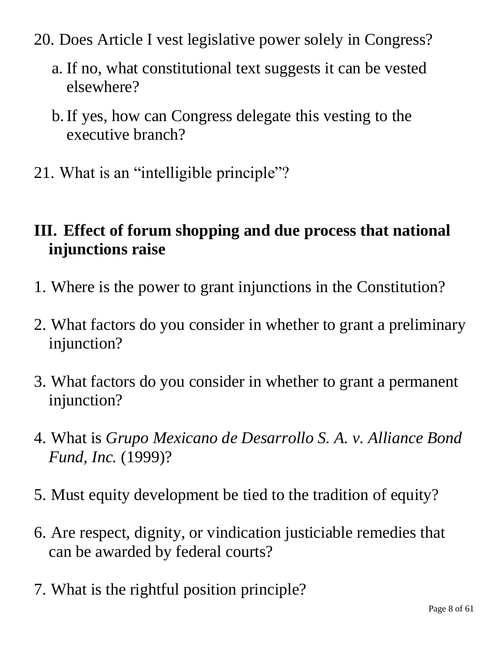20. Does Article I vest legislative power solely in Congress?

- a. If no, what constitutional text suggests it can be vested elsewhere?
- b.If yes, how can Congress delegate this vesting to the executive branch?
- 21. What is an "intelligible principle"?

### **III. Effect of forum shopping and due process that national injunctions raise**

- 1. Where is the power to grant injunctions in the Constitution?
- 2. What factors do you consider in whether to grant a preliminary injunction?
- 3. What factors do you consider in whether to grant a permanent injunction?
- 4. What is *Grupo Mexicano de Desarrollo S. A. v. Alliance Bond Fund, Inc.* (1999)?
- 5. Must equity development be tied to the tradition of equity?
- 6. Are respect, dignity, or vindication justiciable remedies that can be awarded by federal courts?
- 7. What is the rightful position principle?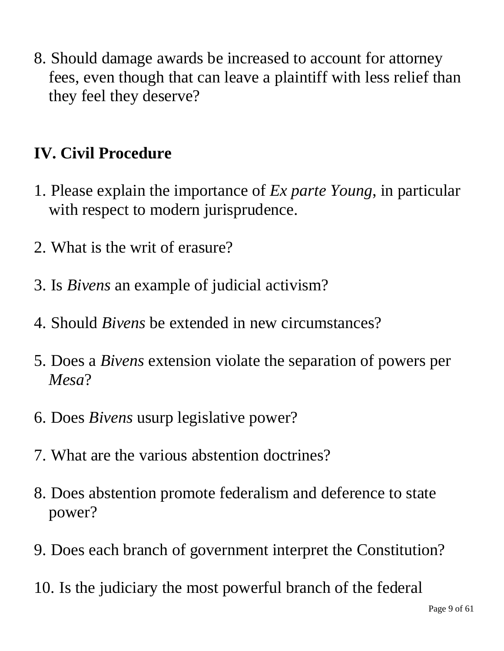8. Should damage awards be increased to account for attorney fees, even though that can leave a plaintiff with less relief than they feel they deserve?

### **IV. Civil Procedure**

- 1. Please explain the importance of *Ex parte Young*, in particular with respect to modern jurisprudence.
- 2. What is the writ of erasure?
- 3. Is *Bivens* an example of judicial activism?
- 4. Should *Bivens* be extended in new circumstances?
- 5. Does a *Bivens* extension violate the separation of powers per *Mesa*?
- 6. Does *Bivens* usurp legislative power?
- 7. What are the various abstention doctrines?
- 8. Does abstention promote federalism and deference to state power?
- 9. Does each branch of government interpret the Constitution?
- 10. Is the judiciary the most powerful branch of the federal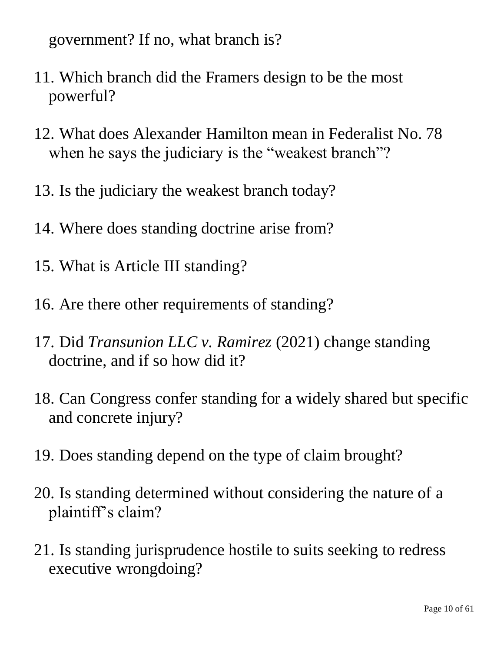government? If no, what branch is?

- 11. Which branch did the Framers design to be the most powerful?
- 12. What does Alexander Hamilton mean in Federalist No. 78 when he says the judiciary is the "weakest branch"?
- 13. Is the judiciary the weakest branch today?
- 14. Where does standing doctrine arise from?
- 15. What is Article III standing?
- 16. Are there other requirements of standing?
- 17. Did *Transunion LLC v. Ramirez* (2021) change standing doctrine, and if so how did it?
- 18. Can Congress confer standing for a widely shared but specific and concrete injury?
- 19. Does standing depend on the type of claim brought?
- 20. Is standing determined without considering the nature of a plaintiff's claim?
- 21. Is standing jurisprudence hostile to suits seeking to redress executive wrongdoing?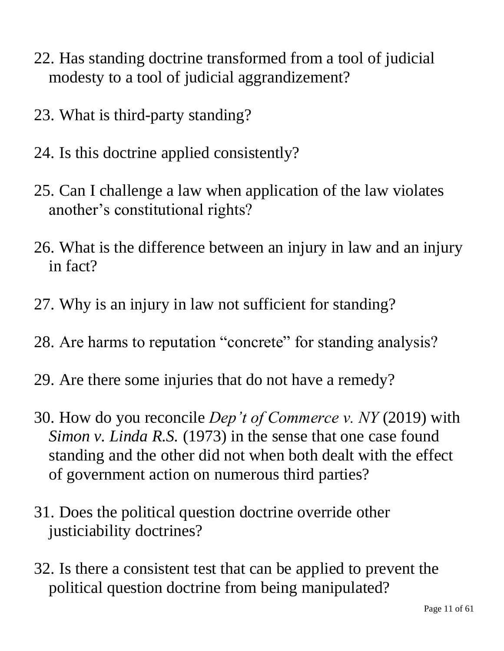- 22. Has standing doctrine transformed from a tool of judicial modesty to a tool of judicial aggrandizement?
- 23. What is third-party standing?
- 24. Is this doctrine applied consistently?
- 25. Can I challenge a law when application of the law violates another's constitutional rights?
- 26. What is the difference between an injury in law and an injury in fact?
- 27. Why is an injury in law not sufficient for standing?
- 28. Are harms to reputation "concrete" for standing analysis?
- 29. Are there some injuries that do not have a remedy?
- 30. How do you reconcile *Dep't of Commerce v. NY* (2019) with *Simon v. Linda R.S.* (1973) in the sense that one case found standing and the other did not when both dealt with the effect of government action on numerous third parties?
- 31. Does the political question doctrine override other justiciability doctrines?
- 32. Is there a consistent test that can be applied to prevent the political question doctrine from being manipulated?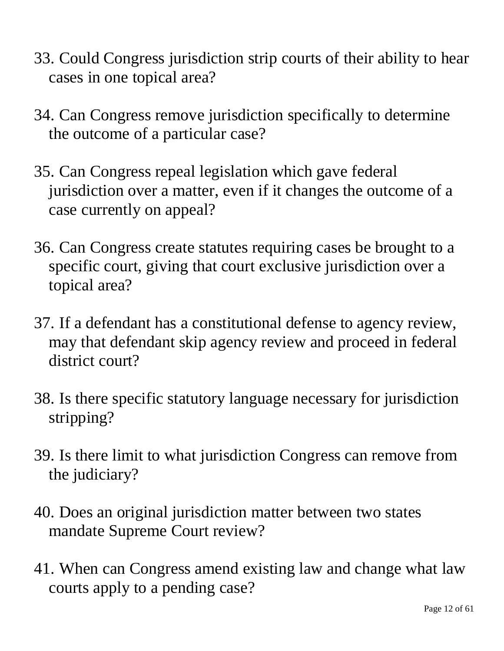- 33. Could Congress jurisdiction strip courts of their ability to hear cases in one topical area?
- 34. Can Congress remove jurisdiction specifically to determine the outcome of a particular case?
- 35. Can Congress repeal legislation which gave federal jurisdiction over a matter, even if it changes the outcome of a case currently on appeal?
- 36. Can Congress create statutes requiring cases be brought to a specific court, giving that court exclusive jurisdiction over a topical area?
- 37. If a defendant has a constitutional defense to agency review, may that defendant skip agency review and proceed in federal district court?
- 38. Is there specific statutory language necessary for jurisdiction stripping?
- 39. Is there limit to what jurisdiction Congress can remove from the judiciary?
- 40. Does an original jurisdiction matter between two states mandate Supreme Court review?
- 41. When can Congress amend existing law and change what law courts apply to a pending case?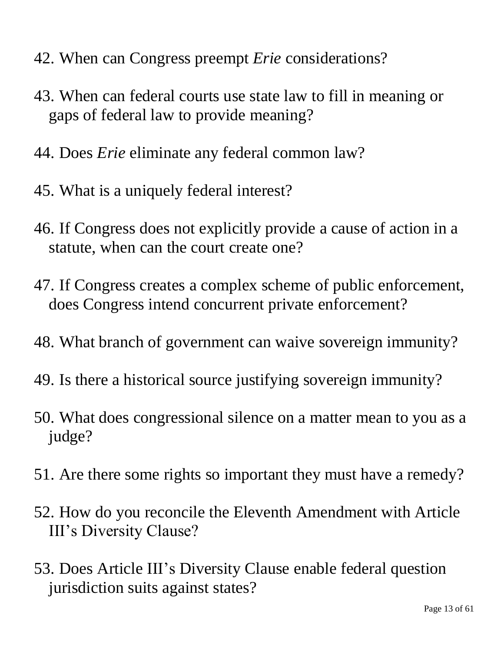- 42. When can Congress preempt *Erie* considerations?
- 43. When can federal courts use state law to fill in meaning or gaps of federal law to provide meaning?
- 44. Does *Erie* eliminate any federal common law?
- 45. What is a uniquely federal interest?
- 46. If Congress does not explicitly provide a cause of action in a statute, when can the court create one?
- 47. If Congress creates a complex scheme of public enforcement, does Congress intend concurrent private enforcement?
- 48. What branch of government can waive sovereign immunity?
- 49. Is there a historical source justifying sovereign immunity?
- 50. What does congressional silence on a matter mean to you as a judge?
- 51. Are there some rights so important they must have a remedy?
- 52. How do you reconcile the Eleventh Amendment with Article III's Diversity Clause?
- 53. Does Article III's Diversity Clause enable federal question jurisdiction suits against states?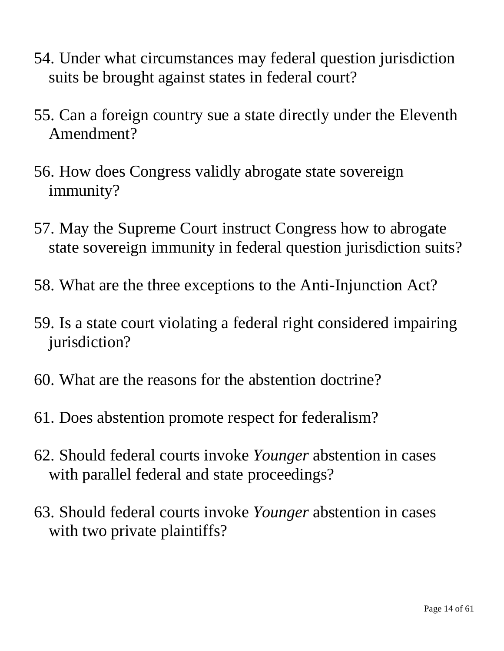- 54. Under what circumstances may federal question jurisdiction suits be brought against states in federal court?
- 55. Can a foreign country sue a state directly under the Eleventh Amendment?
- 56. How does Congress validly abrogate state sovereign immunity?
- 57. May the Supreme Court instruct Congress how to abrogate state sovereign immunity in federal question jurisdiction suits?
- 58. What are the three exceptions to the Anti-Injunction Act?
- 59. Is a state court violating a federal right considered impairing jurisdiction?
- 60. What are the reasons for the abstention doctrine?
- 61. Does abstention promote respect for federalism?
- 62. Should federal courts invoke *Younger* abstention in cases with parallel federal and state proceedings?
- 63. Should federal courts invoke *Younger* abstention in cases with two private plaintiffs?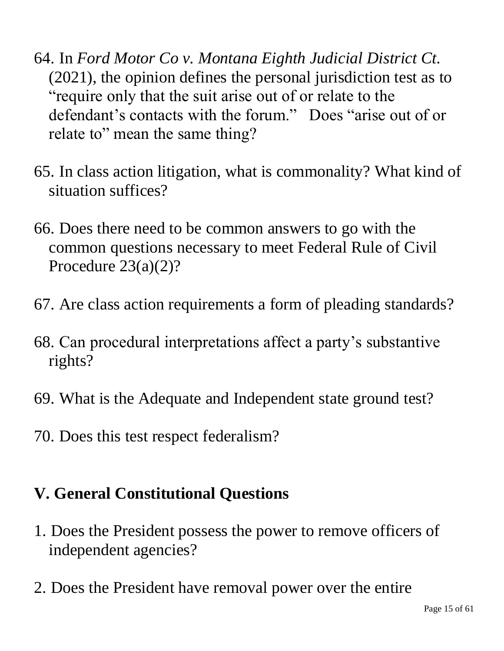- 64. In *Ford Motor Co v. Montana Eighth Judicial District Ct.* (2021), the opinion defines the personal jurisdiction test as to "require only that the suit arise out of or relate to the defendant's contacts with the forum." Does "arise out of or relate to" mean the same thing?
- 65. In class action litigation, what is commonality? What kind of situation suffices?
- 66. Does there need to be common answers to go with the common questions necessary to meet Federal Rule of Civil Procedure 23(a)(2)?
- 67. Are class action requirements a form of pleading standards?
- 68. Can procedural interpretations affect a party's substantive rights?
- 69. What is the Adequate and Independent state ground test?
- 70. Does this test respect federalism?

### **V. General Constitutional Questions**

- 1. Does the President possess the power to remove officers of independent agencies?
- 2. Does the President have removal power over the entire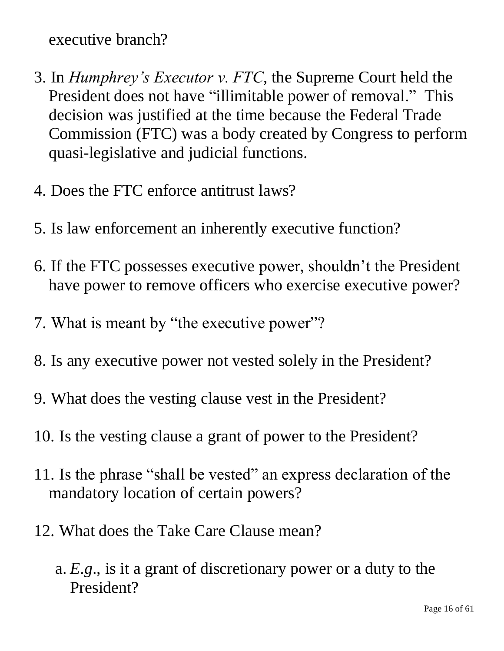executive branch?

- 3. In *Humphrey's Executor v. FTC*, the Supreme Court held the President does not have "illimitable power of removal." This decision was justified at the time because the Federal Trade Commission (FTC) was a body created by Congress to perform quasi-legislative and judicial functions.
- 4. Does the FTC enforce antitrust laws?
- 5. Is law enforcement an inherently executive function?
- 6. If the FTC possesses executive power, shouldn't the President have power to remove officers who exercise executive power?
- 7. What is meant by "the executive power"?
- 8. Is any executive power not vested solely in the President?
- 9. What does the vesting clause vest in the President?
- 10. Is the vesting clause a grant of power to the President?
- 11. Is the phrase "shall be vested" an express declaration of the mandatory location of certain powers?
- 12. What does the Take Care Clause mean?
	- a. *E.g*., is it a grant of discretionary power or a duty to the President?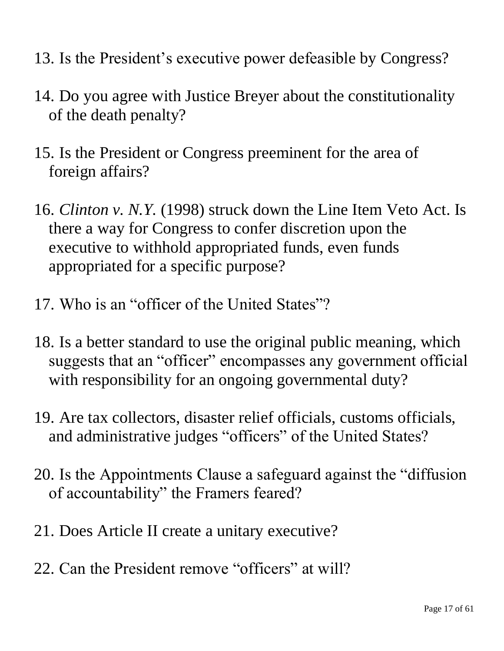- 13. Is the President's executive power defeasible by Congress?
- 14. Do you agree with Justice Breyer about the constitutionality of the death penalty?
- 15. Is the President or Congress preeminent for the area of foreign affairs?
- 16. *Clinton v. N.Y.* (1998) struck down the Line Item Veto Act. Is there a way for Congress to confer discretion upon the executive to withhold appropriated funds, even funds appropriated for a specific purpose?
- 17. Who is an "officer of the United States"?
- 18. Is a better standard to use the original public meaning, which suggests that an "officer" encompasses any government official with responsibility for an ongoing governmental duty?
- 19. Are tax collectors, disaster relief officials, customs officials, and administrative judges "officers" of the United States?
- 20. Is the Appointments Clause a safeguard against the "diffusion of accountability" the Framers feared?
- 21. Does Article II create a unitary executive?
- 22. Can the President remove "officers" at will?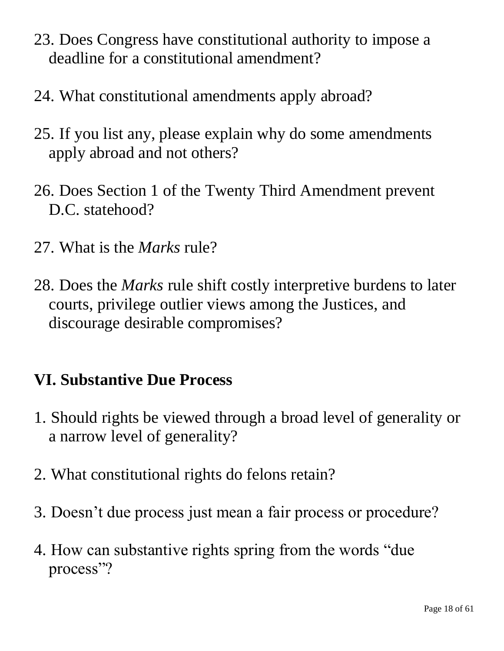- 23. Does Congress have constitutional authority to impose a deadline for a constitutional amendment?
- 24. What constitutional amendments apply abroad?
- 25. If you list any, please explain why do some amendments apply abroad and not others?
- 26. Does Section 1 of the Twenty Third Amendment prevent D.C. statehood?
- 27. What is the *Marks* rule?
- 28. Does the *Marks* rule shift costly interpretive burdens to later courts, privilege outlier views among the Justices, and discourage desirable compromises?

#### **VI. Substantive Due Process**

- 1. Should rights be viewed through a broad level of generality or a narrow level of generality?
- 2. What constitutional rights do felons retain?
- 3. Doesn't due process just mean a fair process or procedure?
- 4. How can substantive rights spring from the words "due process"?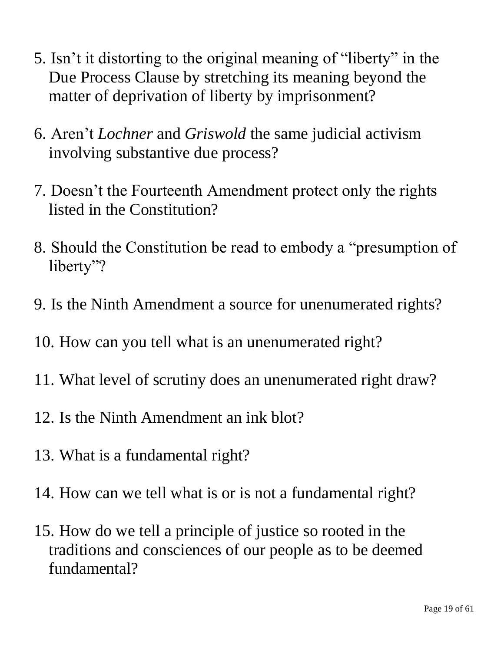- 5. Isn't it distorting to the original meaning of "liberty" in the Due Process Clause by stretching its meaning beyond the matter of deprivation of liberty by imprisonment?
- 6. Aren't *Lochner* and *Griswold* the same judicial activism involving substantive due process?
- 7. Doesn't the Fourteenth Amendment protect only the rights listed in the Constitution?
- 8. Should the Constitution be read to embody a "presumption of liberty"?
- 9. Is the Ninth Amendment a source for unenumerated rights?
- 10. How can you tell what is an unenumerated right?
- 11. What level of scrutiny does an unenumerated right draw?
- 12. Is the Ninth Amendment an ink blot?
- 13. What is a fundamental right?
- 14. How can we tell what is or is not a fundamental right?
- 15. How do we tell a principle of justice so rooted in the traditions and consciences of our people as to be deemed fundamental?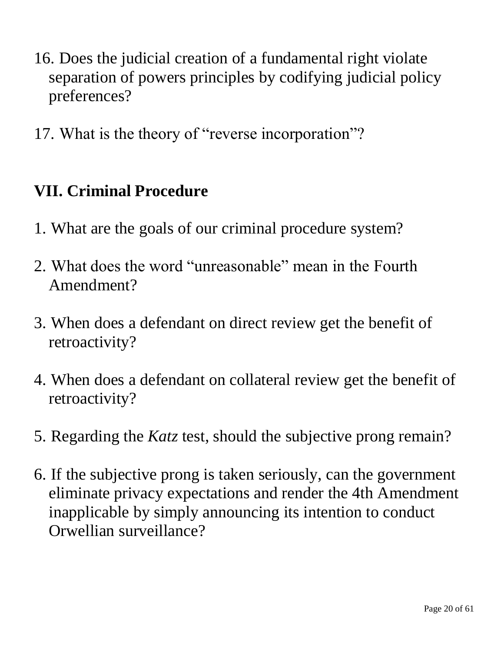- 16. Does the judicial creation of a fundamental right violate separation of powers principles by codifying judicial policy preferences?
- 17. What is the theory of "reverse incorporation"?

### **VII. Criminal Procedure**

- 1. What are the goals of our criminal procedure system?
- 2. What does the word "unreasonable" mean in the Fourth Amendment?
- 3. When does a defendant on direct review get the benefit of retroactivity?
- 4. When does a defendant on collateral review get the benefit of retroactivity?
- 5. Regarding the *Katz* test, should the subjective prong remain?
- 6. If the subjective prong is taken seriously, can the government eliminate privacy expectations and render the 4th Amendment inapplicable by simply announcing its intention to conduct Orwellian surveillance?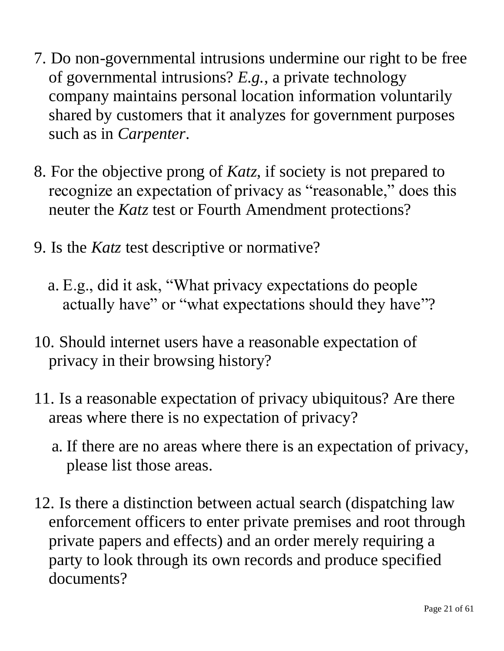- 7. Do non-governmental intrusions undermine our right to be free of governmental intrusions? *E.g.*, a private technology company maintains personal location information voluntarily shared by customers that it analyzes for government purposes such as in *Carpenter*.
- 8. For the objective prong of *Katz*, if society is not prepared to recognize an expectation of privacy as "reasonable," does this neuter the *Katz* test or Fourth Amendment protections?
- 9. Is the *Katz* test descriptive or normative?
	- a. E.g., did it ask, "What privacy expectations do people actually have" or "what expectations should they have"?
- 10. Should internet users have a reasonable expectation of privacy in their browsing history?
- 11. Is a reasonable expectation of privacy ubiquitous? Are there areas where there is no expectation of privacy?
	- a. If there are no areas where there is an expectation of privacy, please list those areas.
- 12. Is there a distinction between actual search (dispatching law enforcement officers to enter private premises and root through private papers and effects) and an order merely requiring a party to look through its own records and produce specified documents?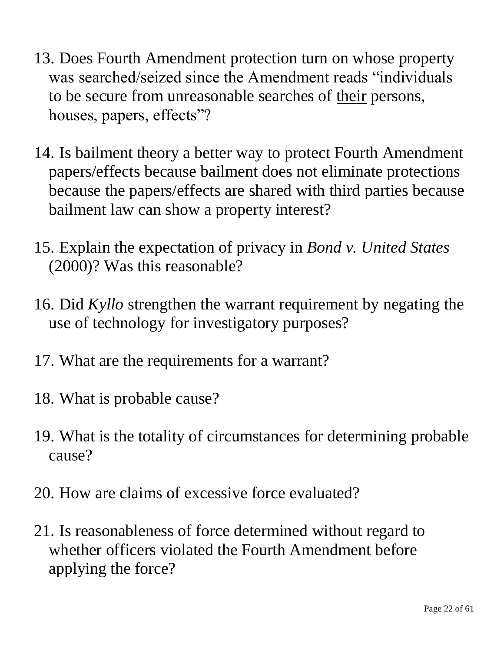- 13. Does Fourth Amendment protection turn on whose property was searched/seized since the Amendment reads "individuals to be secure from unreasonable searches of their persons, houses, papers, effects"?
- 14. Is bailment theory a better way to protect Fourth Amendment papers/effects because bailment does not eliminate protections because the papers/effects are shared with third parties because bailment law can show a property interest?
- 15. Explain the expectation of privacy in *Bond v. United States* (2000)? Was this reasonable?
- 16. Did *Kyllo* strengthen the warrant requirement by negating the use of technology for investigatory purposes?
- 17. What are the requirements for a warrant?
- 18. What is probable cause?
- 19. What is the totality of circumstances for determining probable cause?
- 20. How are claims of excessive force evaluated?
- 21. Is reasonableness of force determined without regard to whether officers violated the Fourth Amendment before applying the force?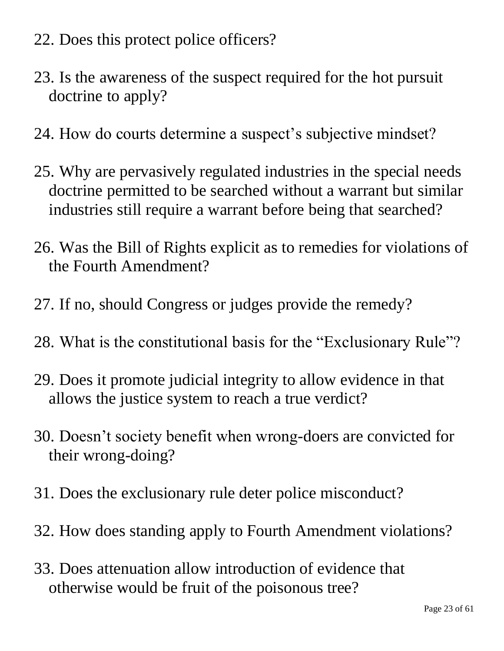- 22. Does this protect police officers?
- 23. Is the awareness of the suspect required for the hot pursuit doctrine to apply?
- 24. How do courts determine a suspect's subjective mindset?
- 25. Why are pervasively regulated industries in the special needs doctrine permitted to be searched without a warrant but similar industries still require a warrant before being that searched?
- 26. Was the Bill of Rights explicit as to remedies for violations of the Fourth Amendment?
- 27. If no, should Congress or judges provide the remedy?
- 28. What is the constitutional basis for the "Exclusionary Rule"?
- 29. Does it promote judicial integrity to allow evidence in that allows the justice system to reach a true verdict?
- 30. Doesn't society benefit when wrong-doers are convicted for their wrong-doing?
- 31. Does the exclusionary rule deter police misconduct?
- 32. How does standing apply to Fourth Amendment violations?
- 33. Does attenuation allow introduction of evidence that otherwise would be fruit of the poisonous tree?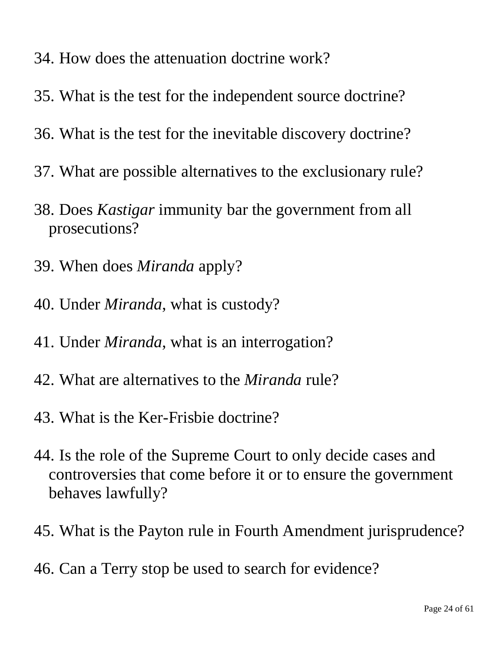- 34. How does the attenuation doctrine work?
- 35. What is the test for the independent source doctrine?
- 36. What is the test for the inevitable discovery doctrine?
- 37. What are possible alternatives to the exclusionary rule?
- 38. Does *Kastigar* immunity bar the government from all prosecutions?
- 39. When does *Miranda* apply?
- 40. Under *Miranda*, what is custody?
- 41. Under *Miranda*, what is an interrogation?
- 42. What are alternatives to the *Miranda* rule?
- 43. What is the Ker-Frisbie doctrine?
- 44. Is the role of the Supreme Court to only decide cases and controversies that come before it or to ensure the government behaves lawfully?
- 45. What is the Payton rule in Fourth Amendment jurisprudence?
- 46. Can a Terry stop be used to search for evidence?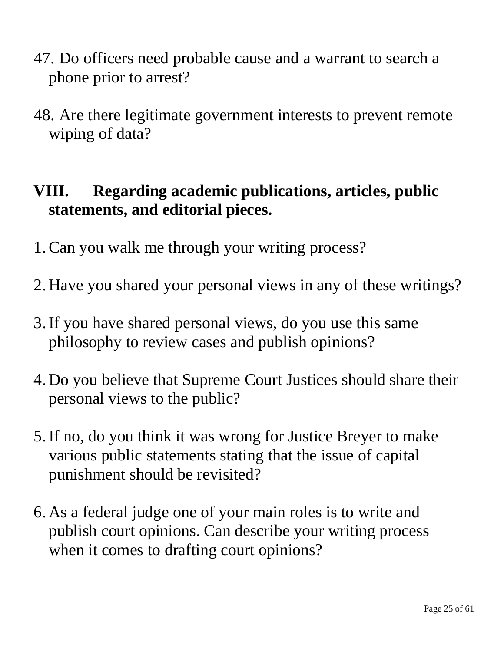- 47. Do officers need probable cause and a warrant to search a phone prior to arrest?
- 48. Are there legitimate government interests to prevent remote wiping of data?

### **VIII. Regarding academic publications, articles, public statements, and editorial pieces.**

- 1.Can you walk me through your writing process?
- 2. Have you shared your personal views in any of these writings?
- 3.If you have shared personal views, do you use this same philosophy to review cases and publish opinions?
- 4. Do you believe that Supreme Court Justices should share their personal views to the public?
- 5.If no, do you think it was wrong for Justice Breyer to make various public statements stating that the issue of capital punishment should be revisited?
- 6. As a federal judge one of your main roles is to write and publish court opinions. Can describe your writing process when it comes to drafting court opinions?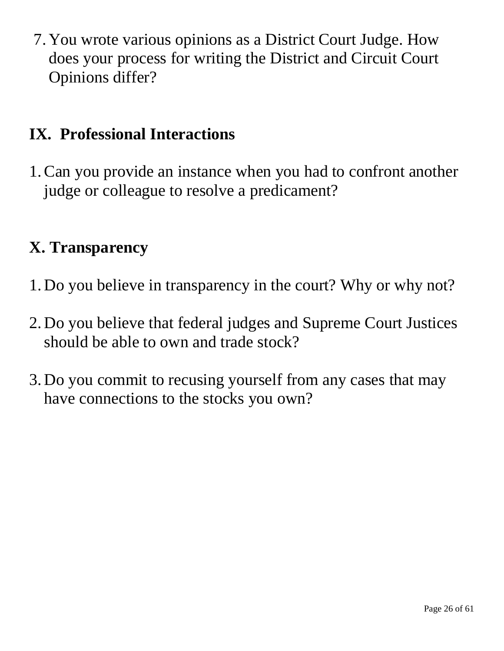7. You wrote various opinions as a District Court Judge. How does your process for writing the District and Circuit Court Opinions differ?

#### **IX. Professional Interactions**

1.Can you provide an instance when you had to confront another judge or colleague to resolve a predicament?

#### **X. Transparency**

- 1. Do you believe in transparency in the court? Why or why not?
- 2. Do you believe that federal judges and Supreme Court Justices should be able to own and trade stock?
- 3. Do you commit to recusing yourself from any cases that may have connections to the stocks you own?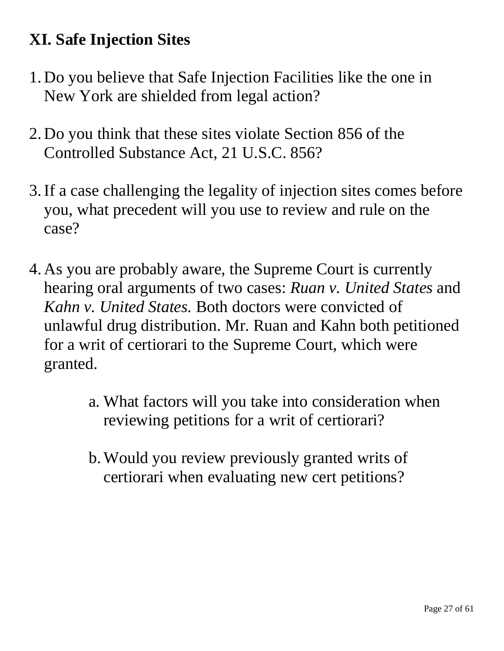## **XI. Safe Injection Sites**

- 1. Do you believe that Safe Injection Facilities like the one in New York are shielded from legal action?
- 2. Do you think that these sites violate Section 856 of the Controlled Substance Act, 21 U.S.C. 856?
- 3.If a case challenging the legality of injection sites comes before you, what precedent will you use to review and rule on the case?
- 4. As you are probably aware, the Supreme Court is currently hearing oral arguments of two cases: *Ruan v. United States* and *Kahn v. United States.* Both doctors were convicted of unlawful drug distribution. Mr. Ruan and Kahn both petitioned for a writ of certiorari to the Supreme Court, which were granted.
	- a. What factors will you take into consideration when reviewing petitions for a writ of certiorari?
	- b.Would you review previously granted writs of certiorari when evaluating new cert petitions?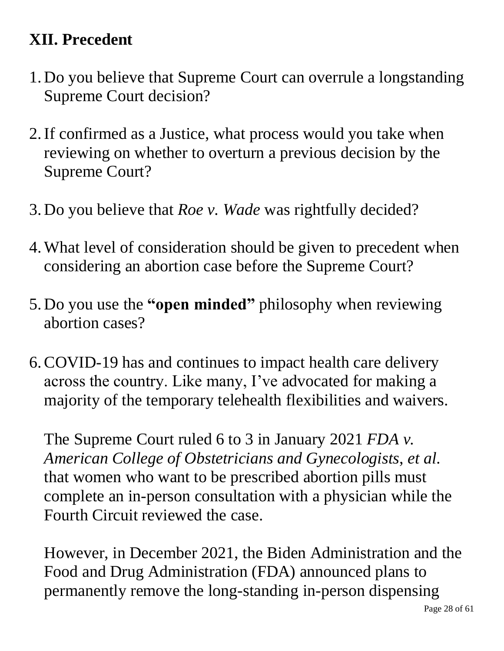### **XII. Precedent**

- 1. Do you believe that Supreme Court can overrule a longstanding Supreme Court decision?
- 2.If confirmed as a Justice, what process would you take when reviewing on whether to overturn a previous decision by the Supreme Court?
- 3. Do you believe that *Roe v. Wade* was rightfully decided?
- 4.What level of consideration should be given to precedent when considering an abortion case before the Supreme Court?
- 5. Do you use the **"open minded"** philosophy when reviewing abortion cases?
- 6.COVID-19 has and continues to impact health care delivery across the country. Like many, I've advocated for making a majority of the temporary telehealth flexibilities and waivers.

The Supreme Court ruled 6 to 3 in January 2021 *FDA v. American College of Obstetricians and Gynecologists*, *et al*. that women who want to be prescribed abortion pills must complete an in-person consultation with a physician while the Fourth Circuit reviewed the case.

However, in December 2021, the Biden Administration and the Food and Drug Administration (FDA) announced plans to permanently remove the long-standing in-person dispensing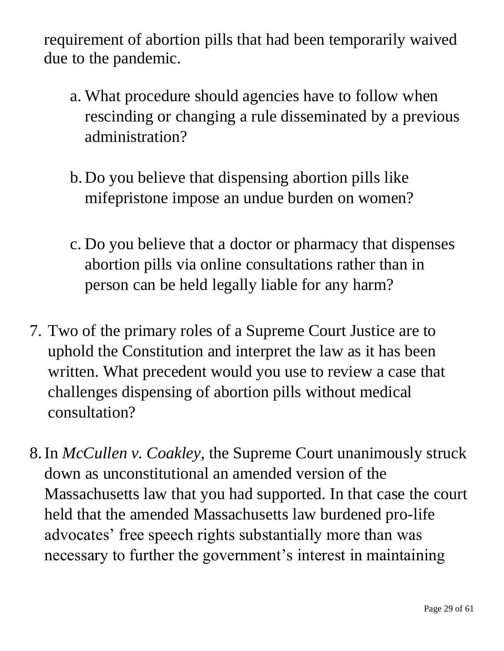requirement of abortion pills that had been temporarily waived due to the pandemic.

- a. What procedure should agencies have to follow when rescinding or changing a rule disseminated by a previous administration?
- b. Do you believe that dispensing abortion pills like mifepristone impose an undue burden on women?
- c. Do you believe that a doctor or pharmacy that dispenses abortion pills via online consultations rather than in person can be held legally liable for any harm?
- 7. Two of the primary roles of a Supreme Court Justice are to uphold the Constitution and interpret the law as it has been written. What precedent would you use to review a case that challenges dispensing of abortion pills without medical consultation?
- 8.In *McCullen v. Coakley*, the Supreme Court unanimously struck down as unconstitutional an amended version of the Massachusetts law that you had supported. In that case the court held that the amended Massachusetts law burdened pro-life advocates' free speech rights substantially more than was necessary to further the government's interest in maintaining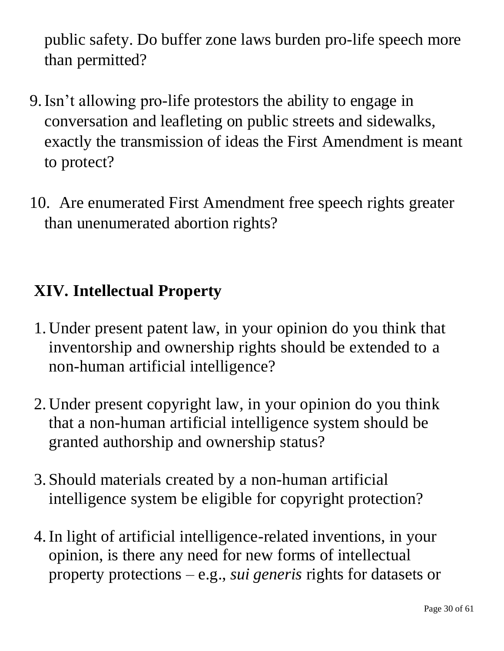public safety. Do buffer zone laws burden pro-life speech more than permitted?

- 9.Isn't allowing pro-life protestors the ability to engage in conversation and leafleting on public streets and sidewalks, exactly the transmission of ideas the First Amendment is meant to protect?
- 10. Are enumerated First Amendment free speech rights greater than unenumerated abortion rights?

#### **XIV. Intellectual Property**

- 1.Under present patent law, in your opinion do you think that inventorship and ownership rights should be extended to a non-human artificial intelligence?
- 2.Under present copyright law, in your opinion do you think that a non-human artificial intelligence system should be granted authorship and ownership status?
- 3. Should materials created by a non-human artificial intelligence system be eligible for copyright protection?
- 4.In light of artificial intelligence-related inventions, in your opinion, is there any need for new forms of intellectual property protections – e.g., *sui generis* rights for datasets or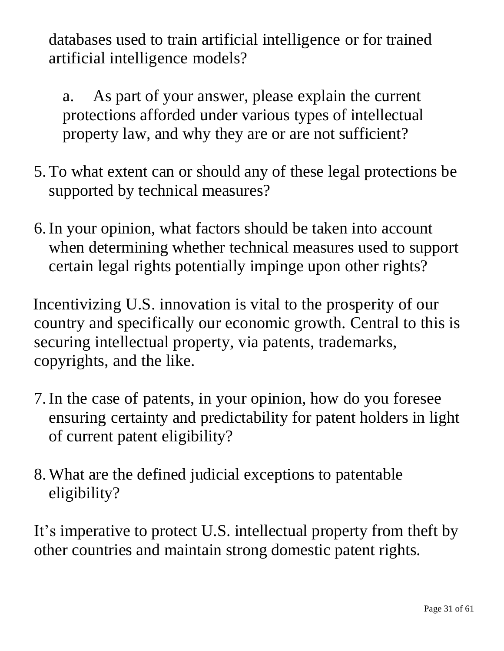databases used to train artificial intelligence or for trained artificial intelligence models?

a. As part of your answer, please explain the current protections afforded under various types of intellectual property law, and why they are or are not sufficient?

- 5.To what extent can or should any of these legal protections be supported by technical measures?
- 6.In your opinion, what factors should be taken into account when determining whether technical measures used to support certain legal rights potentially impinge upon other rights?

Incentivizing U.S. innovation is vital to the prosperity of our country and specifically our economic growth. Central to this is securing intellectual property, via patents, trademarks, copyrights, and the like.

- 7.In the case of patents, in your opinion, how do you foresee ensuring certainty and predictability for patent holders in light of current patent eligibility?
- 8.What are the defined judicial exceptions to patentable eligibility?

It's imperative to protect U.S. intellectual property from theft by other countries and maintain strong domestic patent rights.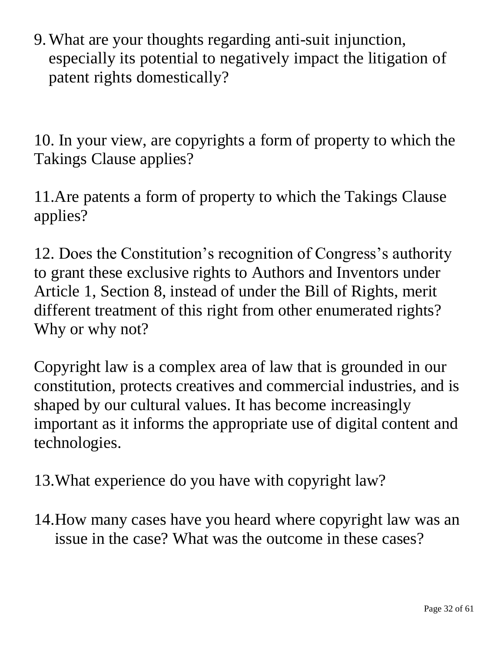9.What are your thoughts regarding anti-suit injunction, especially its potential to negatively impact the litigation of patent rights domestically?

10. In your view, are copyrights a form of property to which the Takings Clause applies?

11.Are patents a form of property to which the Takings Clause applies?

12. Does the Constitution's recognition of Congress's authority to grant these exclusive rights to Authors and Inventors under Article 1, Section 8, instead of under the Bill of Rights, merit different treatment of this right from other enumerated rights? Why or why not?

Copyright law is a complex area of law that is grounded in our constitution, protects creatives and commercial industries, and is shaped by our cultural values. It has become increasingly important as it informs the appropriate use of digital content and technologies.

13.What experience do you have with copyright law?

14.How many cases have you heard where copyright law was an issue in the case? What was the outcome in these cases?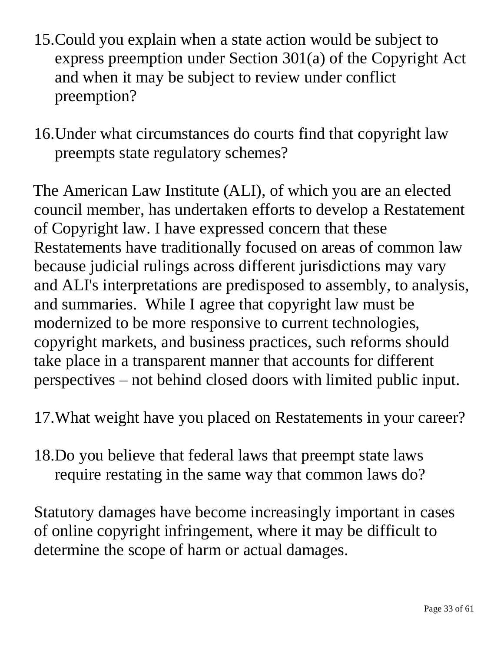- 15.Could you explain when a state action would be subject to express preemption under Section 301(a) of the Copyright Act and when it may be subject to review under conflict preemption?
- 16.Under what circumstances do courts find that copyright law preempts state regulatory schemes?

The American Law Institute (ALI), of which you are an elected council member, has undertaken efforts to develop a Restatement of Copyright law. I have expressed concern that these Restatements have traditionally focused on areas of common law because judicial rulings across different jurisdictions may vary and ALI's interpretations are predisposed to assembly, to analysis, and summaries. While I agree that copyright law must be modernized to be more responsive to current technologies, copyright markets, and business practices, such reforms should take place in a transparent manner that accounts for different perspectives – not behind closed doors with limited public input.

- 17.What weight have you placed on Restatements in your career?
- 18.Do you believe that federal laws that preempt state laws require restating in the same way that common laws do?

Statutory damages have become increasingly important in cases of online copyright infringement, where it may be difficult to determine the scope of harm or actual damages.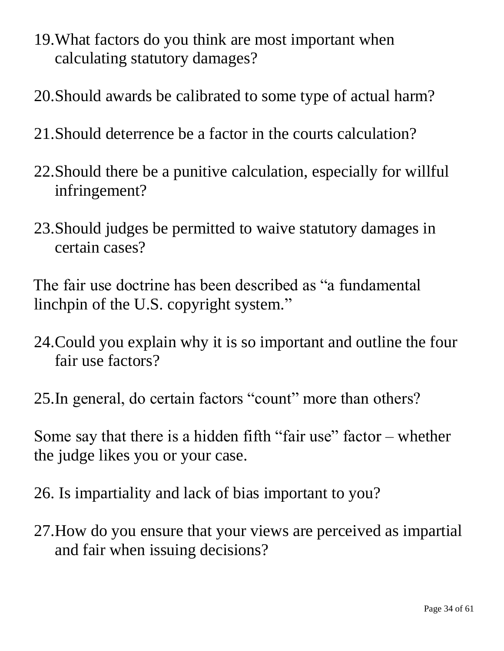- 19.What factors do you think are most important when calculating statutory damages?
- 20.Should awards be calibrated to some type of actual harm?
- 21.Should deterrence be a factor in the courts calculation?
- 22.Should there be a punitive calculation, especially for willful infringement?
- 23.Should judges be permitted to waive statutory damages in certain cases?

The fair use doctrine has been described as "a fundamental linchpin of the U.S. copyright system."

- 24.Could you explain why it is so important and outline the four fair use factors?
- 25.In general, do certain factors "count" more than others?

Some say that there is a hidden fifth "fair use" factor  $-$  whether the judge likes you or your case.

- 26. Is impartiality and lack of bias important to you?
- 27.How do you ensure that your views are perceived as impartial and fair when issuing decisions?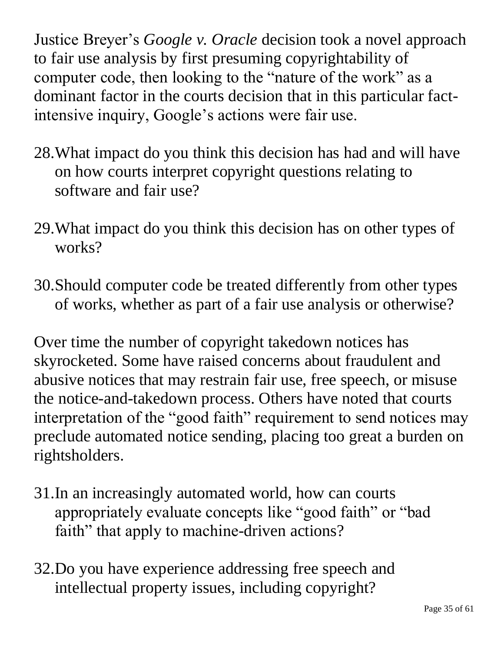Justice Breyer's *Google v. Oracle* decision took a novel approach to fair use analysis by first presuming copyrightability of computer code, then looking to the "nature of the work" as a dominant factor in the courts decision that in this particular factintensive inquiry, Google's actions were fair use.

- 28.What impact do you think this decision has had and will have on how courts interpret copyright questions relating to software and fair use?
- 29.What impact do you think this decision has on other types of works?
- 30.Should computer code be treated differently from other types of works, whether as part of a fair use analysis or otherwise?

Over time the number of copyright takedown notices has skyrocketed. Some have raised concerns about fraudulent and abusive notices that may restrain fair use, free speech, or misuse the notice-and-takedown process. Others have noted that courts interpretation of the "good faith" requirement to send notices may preclude automated notice sending, placing too great a burden on rightsholders.

- 31.In an increasingly automated world, how can courts appropriately evaluate concepts like "good faith" or "bad faith" that apply to machine-driven actions?
- 32.Do you have experience addressing free speech and intellectual property issues, including copyright?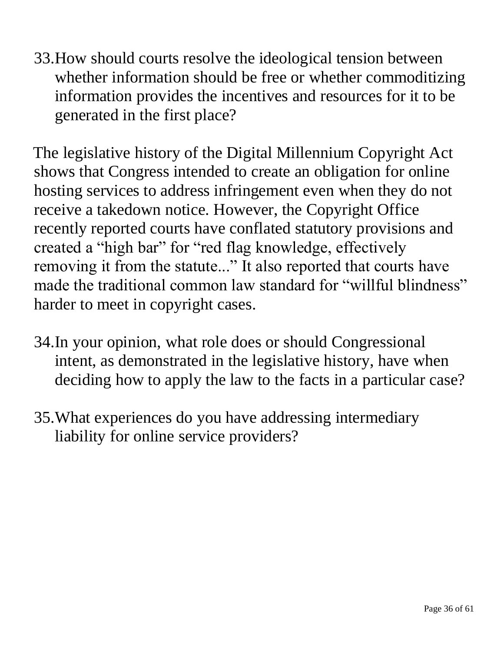33.How should courts resolve the ideological tension between whether information should be free or whether commoditizing information provides the incentives and resources for it to be generated in the first place?

The legislative history of the Digital Millennium Copyright Act shows that Congress intended to create an obligation for online hosting services to address infringement even when they do not receive a takedown notice. However, the Copyright Office recently reported courts have conflated statutory provisions and created a "high bar" for "red flag knowledge, effectively removing it from the statute..." It also reported that courts have made the traditional common law standard for "willful blindness" harder to meet in copyright cases.

- 34.In your opinion, what role does or should Congressional intent, as demonstrated in the legislative history, have when deciding how to apply the law to the facts in a particular case?
- 35.What experiences do you have addressing intermediary liability for online service providers?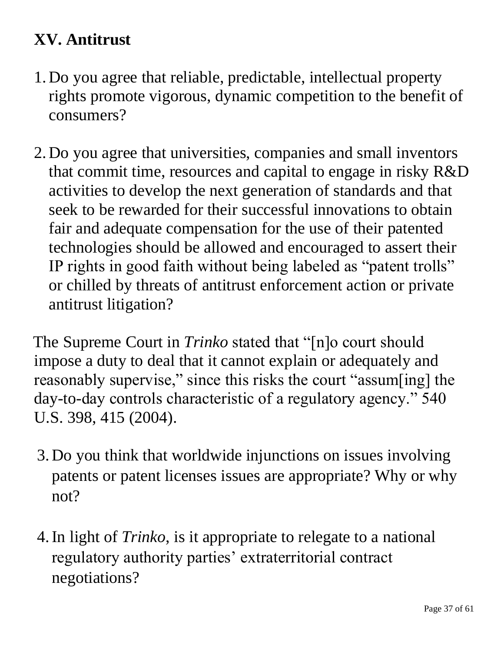## **XV. Antitrust**

- 1. Do you agree that reliable, predictable, intellectual property rights promote vigorous, dynamic competition to the benefit of consumers?
- 2. Do you agree that universities, companies and small inventors that commit time, resources and capital to engage in risky R&D activities to develop the next generation of standards and that seek to be rewarded for their successful innovations to obtain fair and adequate compensation for the use of their patented technologies should be allowed and encouraged to assert their IP rights in good faith without being labeled as "patent trolls" or chilled by threats of antitrust enforcement action or private antitrust litigation?

The Supreme Court in *Trinko* stated that "[n]o court should impose a duty to deal that it cannot explain or adequately and reasonably supervise," since this risks the court "assum[ing] the day-to-day controls characteristic of a regulatory agency." 540 U.S. 398, 415 (2004).

- 3. Do you think that worldwide injunctions on issues involving patents or patent licenses issues are appropriate? Why or why not?
- 4.In light of *Trinko*, is it appropriate to relegate to a national regulatory authority parties' extraterritorial contract negotiations?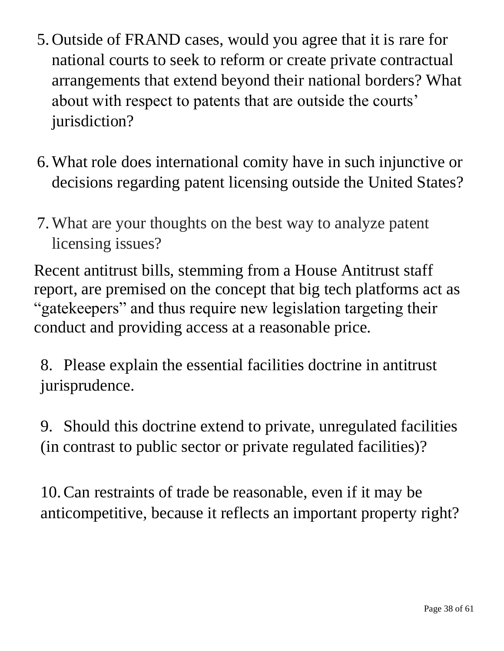- 5. Outside of FRAND cases, would you agree that it is rare for national courts to seek to reform or create private contractual arrangements that extend beyond their national borders? What about with respect to patents that are outside the courts' jurisdiction?
- 6.What role does international comity have in such injunctive or decisions regarding patent licensing outside the United States?
- 7.What are your thoughts on the best way to analyze patent licensing issues?

Recent antitrust bills, stemming from a House Antitrust staff report, are premised on the concept that big tech platforms act as "gatekeepers" and thus require new legislation targeting their conduct and providing access at a reasonable price.

8. Please explain the essential facilities doctrine in antitrust jurisprudence.

9. Should this doctrine extend to private, unregulated facilities (in contrast to public sector or private regulated facilities)?

10.Can restraints of trade be reasonable, even if it may be anticompetitive, because it reflects an important property right?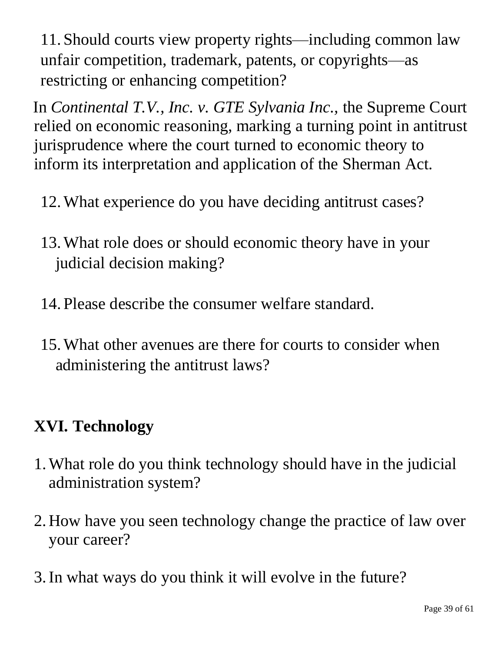11. Should courts view property rights—including common law unfair competition, trademark, patents, or copyrights—as restricting or enhancing competition?

In *Continental T.V., Inc. v. GTE Sylvania Inc.,* the Supreme Court relied on economic reasoning, marking a turning point in antitrust jurisprudence where the court turned to economic theory to inform its interpretation and application of the Sherman Act.

- 12.What experience do you have deciding antitrust cases?
- 13.What role does or should economic theory have in your judicial decision making?
- 14. Please describe the consumer welfare standard.
- 15.What other avenues are there for courts to consider when administering the antitrust laws?

#### **XVI. Technology**

- 1.What role do you think technology should have in the judicial administration system?
- 2. How have you seen technology change the practice of law over your career?
- 3.In what ways do you think it will evolve in the future?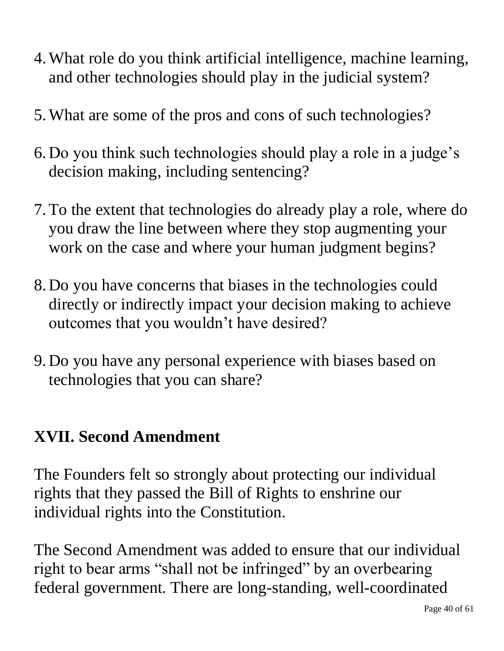- 4.What role do you think artificial intelligence, machine learning, and other technologies should play in the judicial system?
- 5.What are some of the pros and cons of such technologies?
- 6. Do you think such technologies should play a role in a judge's decision making, including sentencing?
- 7.To the extent that technologies do already play a role, where do you draw the line between where they stop augmenting your work on the case and where your human judgment begins?
- 8. Do you have concerns that biases in the technologies could directly or indirectly impact your decision making to achieve outcomes that you wouldn't have desired?
- 9. Do you have any personal experience with biases based on technologies that you can share?

#### **XVII. Second Amendment**

The Founders felt so strongly about protecting our individual rights that they passed the Bill of Rights to enshrine our individual rights into the Constitution.

The Second Amendment was added to ensure that our individual right to bear arms "shall not be infringed" by an overbearing federal government. There are long-standing, well-coordinated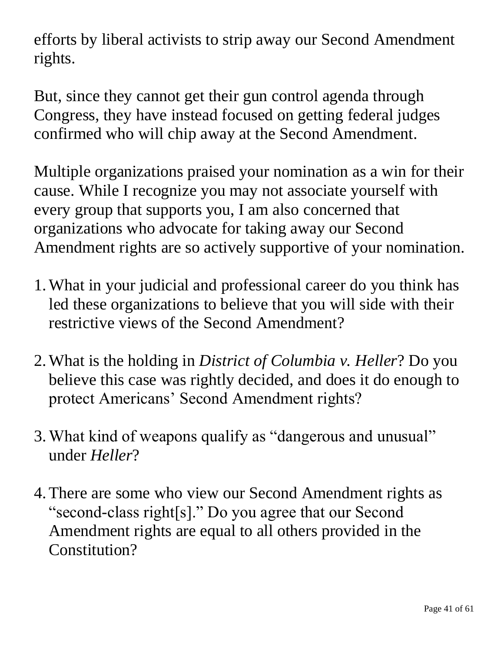efforts by liberal activists to strip away our Second Amendment rights.

But, since they cannot get their gun control agenda through Congress, they have instead focused on getting federal judges confirmed who will chip away at the Second Amendment.

Multiple organizations praised your nomination as a win for their cause. While I recognize you may not associate yourself with every group that supports you, I am also concerned that organizations who advocate for taking away our Second Amendment rights are so actively supportive of your nomination.

- 1.What in your judicial and professional career do you think has led these organizations to believe that you will side with their restrictive views of the Second Amendment?
- 2.What is the holding in *District of Columbia v. Heller*? Do you believe this case was rightly decided, and does it do enough to protect Americans' Second Amendment rights?
- 3.What kind of weapons qualify as "dangerous and unusual" under *Heller*?
- 4.There are some who view our Second Amendment rights as "second-class right[s]." Do you agree that our Second Amendment rights are equal to all others provided in the Constitution?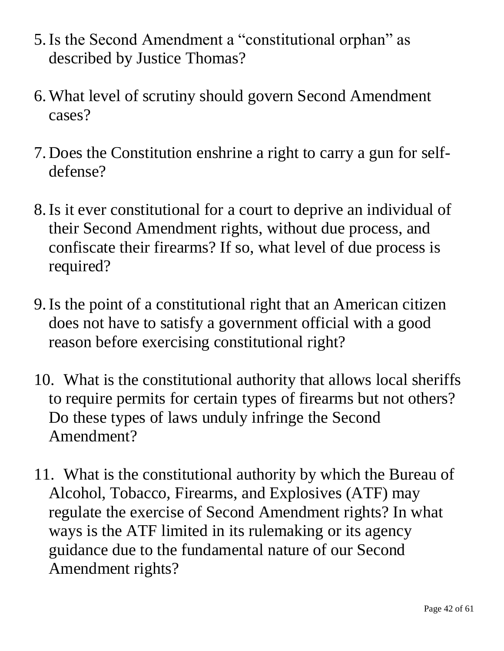- 5.Is the Second Amendment a "constitutional orphan" as described by Justice Thomas?
- 6.What level of scrutiny should govern Second Amendment cases?
- 7. Does the Constitution enshrine a right to carry a gun for selfdefense?
- 8.Is it ever constitutional for a court to deprive an individual of their Second Amendment rights, without due process, and confiscate their firearms? If so, what level of due process is required?
- 9.Is the point of a constitutional right that an American citizen does not have to satisfy a government official with a good reason before exercising constitutional right?
- 10. What is the constitutional authority that allows local sheriffs to require permits for certain types of firearms but not others? Do these types of laws unduly infringe the Second Amendment?
- 11. What is the constitutional authority by which the Bureau of Alcohol, Tobacco, Firearms, and Explosives (ATF) may regulate the exercise of Second Amendment rights? In what ways is the ATF limited in its rulemaking or its agency guidance due to the fundamental nature of our Second Amendment rights?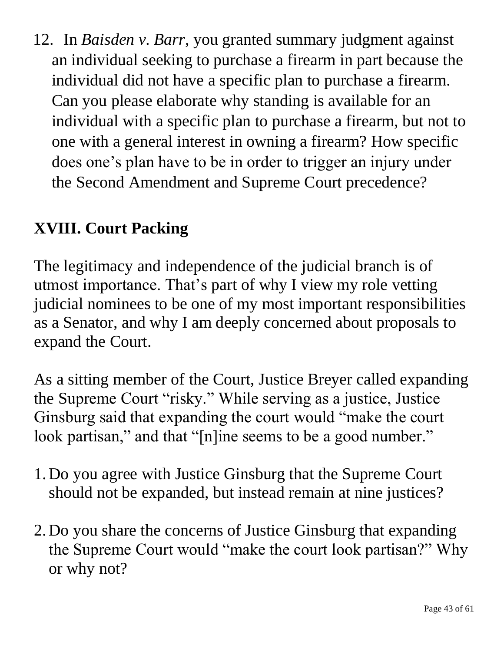12. In *Baisden v. Barr*, you granted summary judgment against an individual seeking to purchase a firearm in part because the individual did not have a specific plan to purchase a firearm. Can you please elaborate why standing is available for an individual with a specific plan to purchase a firearm, but not to one with a general interest in owning a firearm? How specific does one's plan have to be in order to trigger an injury under the Second Amendment and Supreme Court precedence?

### **XVIII. Court Packing**

The legitimacy and independence of the judicial branch is of utmost importance. That's part of why I view my role vetting judicial nominees to be one of my most important responsibilities as a Senator, and why I am deeply concerned about proposals to expand the Court.

As a sitting member of the Court, Justice Breyer called expanding the Supreme Court "risky." While serving as a justice, Justice Ginsburg said that expanding the court would "make the court look partisan," and that "[n]ine seems to be a good number."

- 1. Do you agree with Justice Ginsburg that the Supreme Court should not be expanded, but instead remain at nine justices?
- 2. Do you share the concerns of Justice Ginsburg that expanding the Supreme Court would "make the court look partisan?" Why or why not?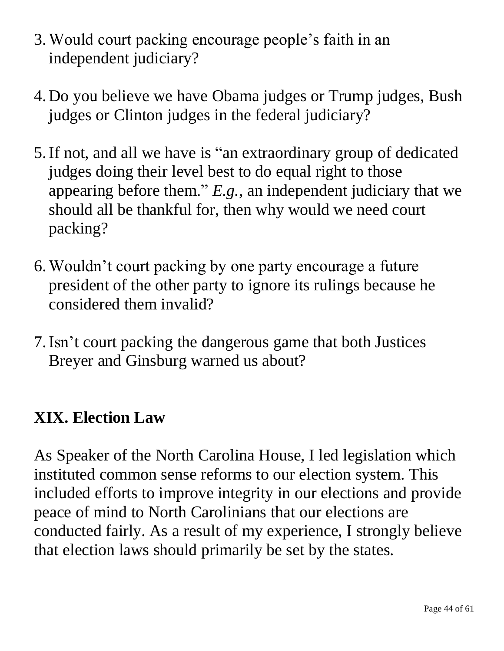- 3.Would court packing encourage people's faith in an independent judiciary?
- 4. Do you believe we have Obama judges or Trump judges, Bush judges or Clinton judges in the federal judiciary?
- 5.If not, and all we have is "an extraordinary group of dedicated judges doing their level best to do equal right to those appearing before them." *E.g.,* an independent judiciary that we should all be thankful for, then why would we need court packing?
- 6.Wouldn't court packing by one party encourage a future president of the other party to ignore its rulings because he considered them invalid?
- 7.Isn't court packing the dangerous game that both Justices Breyer and Ginsburg warned us about?

#### **XIX. Election Law**

As Speaker of the North Carolina House, I led legislation which instituted common sense reforms to our election system. This included efforts to improve integrity in our elections and provide peace of mind to North Carolinians that our elections are conducted fairly. As a result of my experience, I strongly believe that election laws should primarily be set by the states.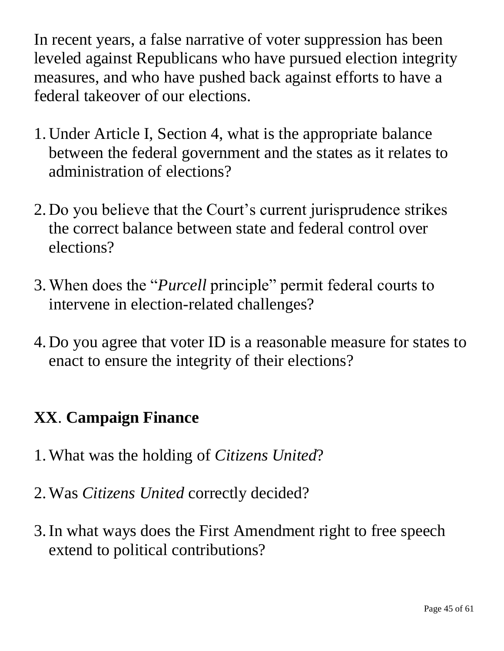In recent years, a false narrative of voter suppression has been leveled against Republicans who have pursued election integrity measures, and who have pushed back against efforts to have a federal takeover of our elections.

- 1. Under Article I, Section 4, what is the appropriate balance between the federal government and the states as it relates to administration of elections?
- 2. Do you believe that the Court's current jurisprudence strikes the correct balance between state and federal control over elections?
- 3.When does the "*Purcell* principle" permit federal courts to intervene in election-related challenges?
- 4. Do you agree that voter ID is a reasonable measure for states to enact to ensure the integrity of their elections?

### **XX**. **Campaign Finance**

- 1.What was the holding of *Citizens United*?
- 2.Was *Citizens United* correctly decided?
- 3.In what ways does the First Amendment right to free speech extend to political contributions?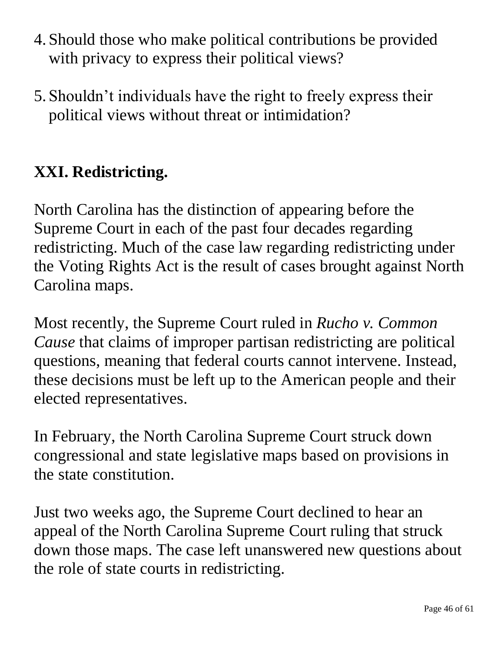- 4. Should those who make political contributions be provided with privacy to express their political views?
- 5. Shouldn't individuals have the right to freely express their political views without threat or intimidation?

### **XXI. Redistricting.**

North Carolina has the distinction of appearing before the Supreme Court in each of the past four decades regarding redistricting. Much of the case law regarding redistricting under the Voting Rights Act is the result of cases brought against North Carolina maps.

Most recently, the Supreme Court ruled in *Rucho v. Common Cause* that claims of improper partisan redistricting are political questions, meaning that federal courts cannot intervene. Instead, these decisions must be left up to the American people and their elected representatives.

In February, the North Carolina Supreme Court struck down congressional and state legislative maps based on provisions in the state constitution.

Just two weeks ago, the Supreme Court declined to hear an appeal of the North Carolina Supreme Court ruling that struck down those maps. The case left unanswered new questions about the role of state courts in redistricting.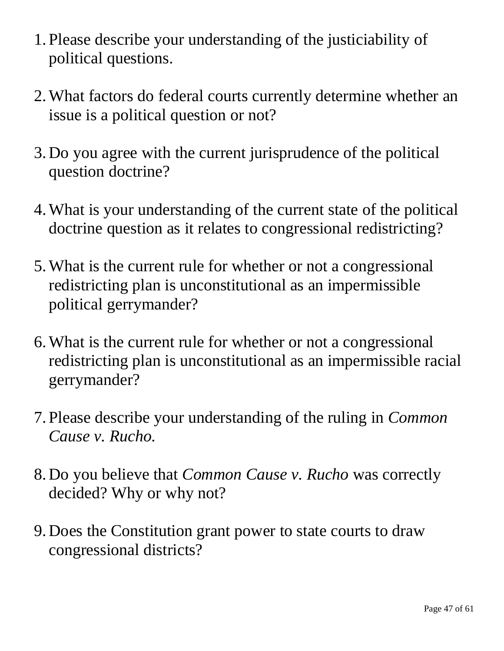- 1. Please describe your understanding of the justiciability of political questions.
- 2.What factors do federal courts currently determine whether an issue is a political question or not?
- 3. Do you agree with the current jurisprudence of the political question doctrine?
- 4.What is your understanding of the current state of the political doctrine question as it relates to congressional redistricting?
- 5.What is the current rule for whether or not a congressional redistricting plan is unconstitutional as an impermissible political gerrymander?
- 6.What is the current rule for whether or not a congressional redistricting plan is unconstitutional as an impermissible racial gerrymander?
- 7. Please describe your understanding of the ruling in *Common Cause v. Rucho.*
- 8. Do you believe that *Common Cause v. Rucho* was correctly decided? Why or why not?
- 9. Does the Constitution grant power to state courts to draw congressional districts?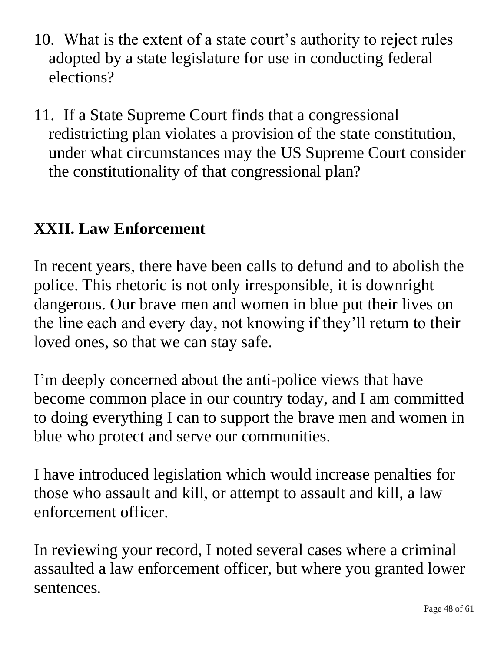- 10. What is the extent of a state court's authority to reject rules adopted by a state legislature for use in conducting federal elections?
- 11. If a State Supreme Court finds that a congressional redistricting plan violates a provision of the state constitution, under what circumstances may the US Supreme Court consider the constitutionality of that congressional plan?

### **XXII. Law Enforcement**

In recent years, there have been calls to defund and to abolish the police. This rhetoric is not only irresponsible, it is downright dangerous. Our brave men and women in blue put their lives on the line each and every day, not knowing if they'll return to their loved ones, so that we can stay safe.

I'm deeply concerned about the anti-police views that have become common place in our country today, and I am committed to doing everything I can to support the brave men and women in blue who protect and serve our communities.

I have introduced legislation which would increase penalties for those who assault and kill, or attempt to assault and kill, a law enforcement officer.

In reviewing your record, I noted several cases where a criminal assaulted a law enforcement officer, but where you granted lower sentences.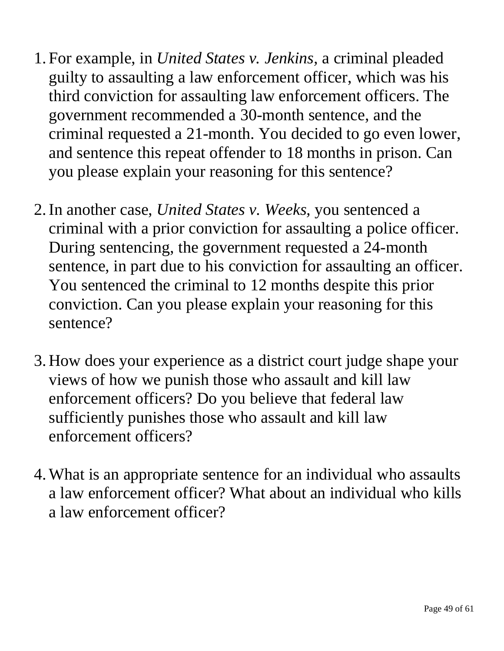- 1. For example, in *United States v. Jenkins,* a criminal pleaded guilty to assaulting a law enforcement officer, which was his third conviction for assaulting law enforcement officers. The government recommended a 30-month sentence, and the criminal requested a 21-month. You decided to go even lower, and sentence this repeat offender to 18 months in prison. Can you please explain your reasoning for this sentence?
- 2.In another case, *United States v. Weeks,* you sentenced a criminal with a prior conviction for assaulting a police officer. During sentencing, the government requested a 24-month sentence, in part due to his conviction for assaulting an officer. You sentenced the criminal to 12 months despite this prior conviction. Can you please explain your reasoning for this sentence?
- 3. How does your experience as a district court judge shape your views of how we punish those who assault and kill law enforcement officers? Do you believe that federal law sufficiently punishes those who assault and kill law enforcement officers?
- 4.What is an appropriate sentence for an individual who assaults a law enforcement officer? What about an individual who kills a law enforcement officer?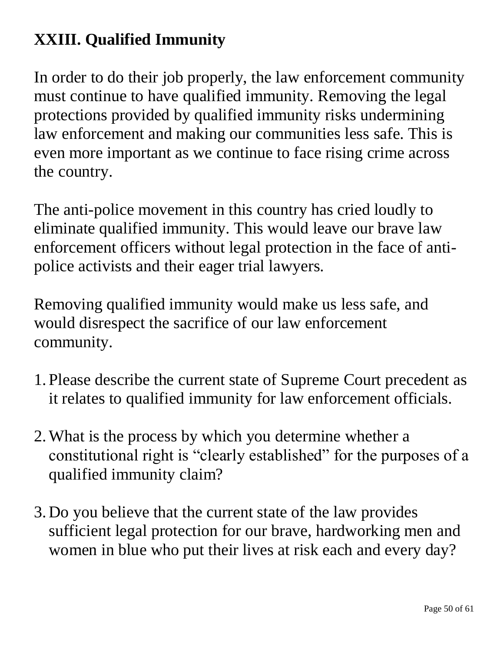# **XXIII. Qualified Immunity**

In order to do their job properly, the law enforcement community must continue to have qualified immunity. Removing the legal protections provided by qualified immunity risks undermining law enforcement and making our communities less safe. This is even more important as we continue to face rising crime across the country.

The anti-police movement in this country has cried loudly to eliminate qualified immunity. This would leave our brave law enforcement officers without legal protection in the face of antipolice activists and their eager trial lawyers.

Removing qualified immunity would make us less safe, and would disrespect the sacrifice of our law enforcement community.

- 1. Please describe the current state of Supreme Court precedent as it relates to qualified immunity for law enforcement officials.
- 2.What is the process by which you determine whether a constitutional right is "clearly established" for the purposes of a qualified immunity claim?
- 3. Do you believe that the current state of the law provides sufficient legal protection for our brave, hardworking men and women in blue who put their lives at risk each and every day?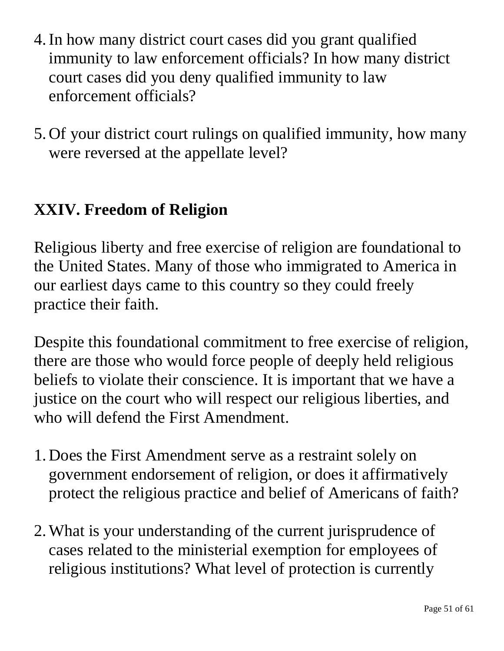- 4.In how many district court cases did you grant qualified immunity to law enforcement officials? In how many district court cases did you deny qualified immunity to law enforcement officials?
- 5. Of your district court rulings on qualified immunity, how many were reversed at the appellate level?

### **XXIV. Freedom of Religion**

Religious liberty and free exercise of religion are foundational to the United States. Many of those who immigrated to America in our earliest days came to this country so they could freely practice their faith.

Despite this foundational commitment to free exercise of religion, there are those who would force people of deeply held religious beliefs to violate their conscience. It is important that we have a justice on the court who will respect our religious liberties, and who will defend the First Amendment.

- 1. Does the First Amendment serve as a restraint solely on government endorsement of religion, or does it affirmatively protect the religious practice and belief of Americans of faith?
- 2.What is your understanding of the current jurisprudence of cases related to the ministerial exemption for employees of religious institutions? What level of protection is currently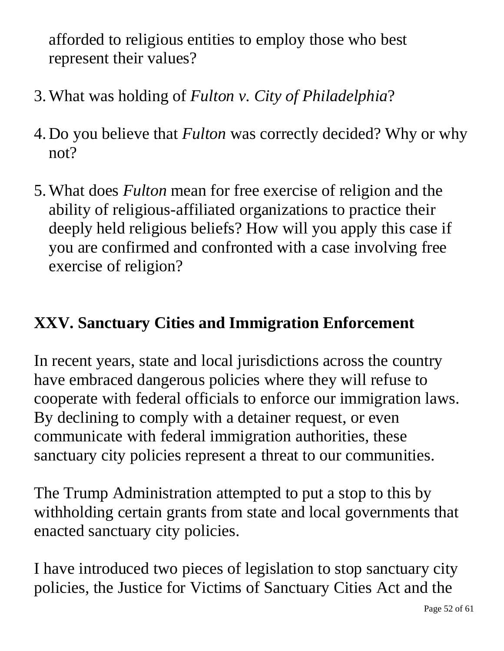afforded to religious entities to employ those who best represent their values?

- 3.What was holding of *Fulton v. City of Philadelphia*?
- 4. Do you believe that *Fulton* was correctly decided? Why or why not?
- 5.What does *Fulton* mean for free exercise of religion and the ability of religious-affiliated organizations to practice their deeply held religious beliefs? How will you apply this case if you are confirmed and confronted with a case involving free exercise of religion?

#### **XXV. Sanctuary Cities and Immigration Enforcement**

In recent years, state and local jurisdictions across the country have embraced dangerous policies where they will refuse to cooperate with federal officials to enforce our immigration laws. By declining to comply with a detainer request, or even communicate with federal immigration authorities, these sanctuary city policies represent a threat to our communities.

The Trump Administration attempted to put a stop to this by withholding certain grants from state and local governments that enacted sanctuary city policies.

I have introduced two pieces of legislation to stop sanctuary city policies, the Justice for Victims of Sanctuary Cities Act and the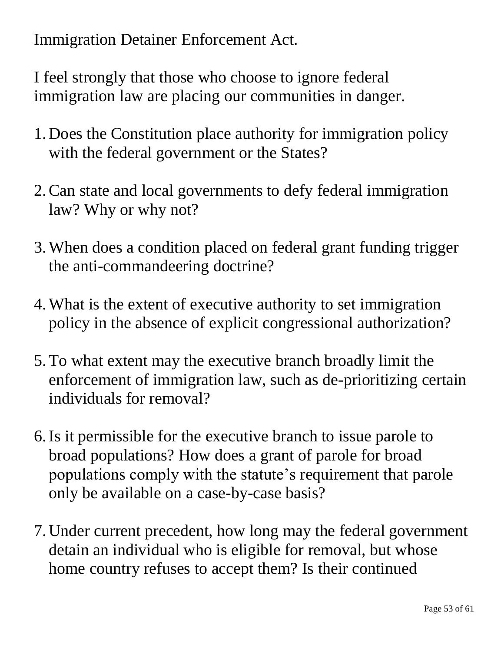Immigration Detainer Enforcement Act.

I feel strongly that those who choose to ignore federal immigration law are placing our communities in danger.

- 1. Does the Constitution place authority for immigration policy with the federal government or the States?
- 2.Can state and local governments to defy federal immigration law? Why or why not?
- 3.When does a condition placed on federal grant funding trigger the anti-commandeering doctrine?
- 4.What is the extent of executive authority to set immigration policy in the absence of explicit congressional authorization?
- 5.To what extent may the executive branch broadly limit the enforcement of immigration law, such as de-prioritizing certain individuals for removal?
- 6.Is it permissible for the executive branch to issue parole to broad populations? How does a grant of parole for broad populations comply with the statute's requirement that parole only be available on a case-by-case basis?
- 7. Under current precedent, how long may the federal government detain an individual who is eligible for removal, but whose home country refuses to accept them? Is their continued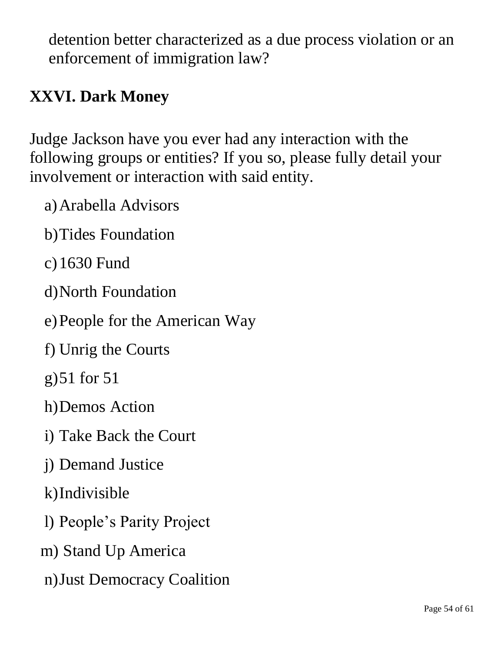detention better characterized as a due process violation or an enforcement of immigration law?

#### **XXVI. Dark Money**

Judge Jackson have you ever had any interaction with the following groups or entities? If you so, please fully detail your involvement or interaction with said entity.

- a)Arabella Advisors
- b)Tides Foundation
- c)1630 Fund
- d)North Foundation
- e)People for the American Way
- f) Unrig the Courts
- g)51 for 51
- h)Demos Action
- i) Take Back the Court
- j) Demand Justice
- k)Indivisible
- l) People's Parity Project
- m) Stand Up America
- n)Just Democracy Coalition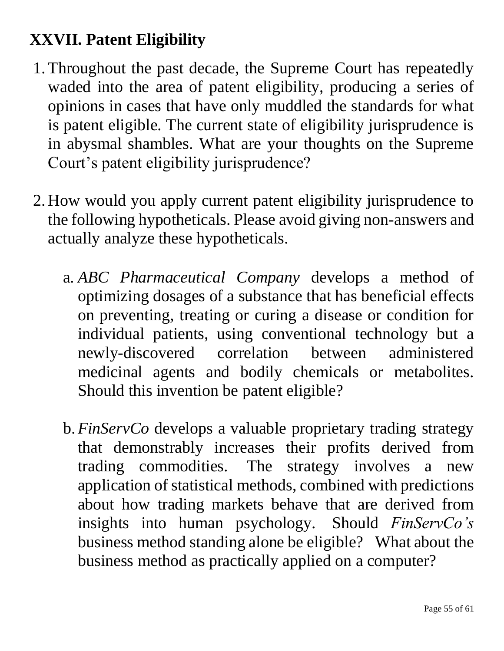### **XXVII. Patent Eligibility**

- 1.Throughout the past decade, the Supreme Court has repeatedly waded into the area of patent eligibility, producing a series of opinions in cases that have only muddled the standards for what is patent eligible. The current state of eligibility jurisprudence is in abysmal shambles. What are your thoughts on the Supreme Court's patent eligibility jurisprudence?
- 2. How would you apply current patent eligibility jurisprudence to the following hypotheticals. Please avoid giving non-answers and actually analyze these hypotheticals.
	- a. *ABC Pharmaceutical Company* develops a method of optimizing dosages of a substance that has beneficial effects on preventing, treating or curing a disease or condition for individual patients, using conventional technology but a newly-discovered correlation between administered medicinal agents and bodily chemicals or metabolites. Should this invention be patent eligible?
	- b.*FinServCo* develops a valuable proprietary trading strategy that demonstrably increases their profits derived from trading commodities. The strategy involves a new application of statistical methods, combined with predictions about how trading markets behave that are derived from insights into human psychology. Should *FinServCo's* business method standing alone be eligible? What about the business method as practically applied on a computer?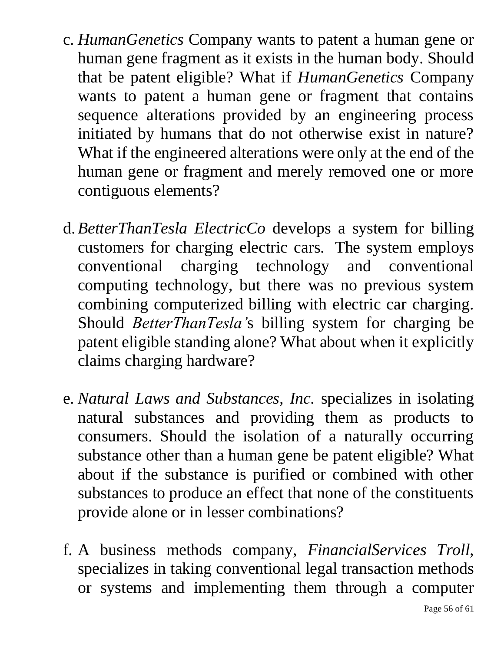- c. *HumanGenetics* Company wants to patent a human gene or human gene fragment as it exists in the human body. Should that be patent eligible? What if *HumanGenetics* Company wants to patent a human gene or fragment that contains sequence alterations provided by an engineering process initiated by humans that do not otherwise exist in nature? What if the engineered alterations were only at the end of the human gene or fragment and merely removed one or more contiguous elements?
- d.*BetterThanTesla ElectricCo* develops a system for billing customers for charging electric cars. The system employs conventional charging technology and conventional computing technology, but there was no previous system combining computerized billing with electric car charging. Should *BetterThanTesla'*s billing system for charging be patent eligible standing alone? What about when it explicitly claims charging hardware?
- e. *Natural Laws and Substances, Inc.* specializes in isolating natural substances and providing them as products to consumers. Should the isolation of a naturally occurring substance other than a human gene be patent eligible? What about if the substance is purified or combined with other substances to produce an effect that none of the constituents provide alone or in lesser combinations?
- f. A business methods company, *FinancialServices Troll,* specializes in taking conventional legal transaction methods or systems and implementing them through a computer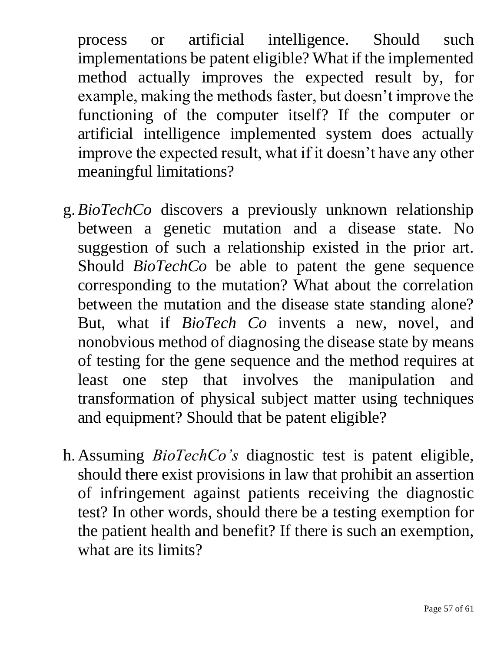process or artificial intelligence. Should such implementations be patent eligible? What if the implemented method actually improves the expected result by, for example, making the methods faster, but doesn't improve the functioning of the computer itself? If the computer or artificial intelligence implemented system does actually improve the expected result, what if it doesn't have any other meaningful limitations?

- g.*BioTechCo* discovers a previously unknown relationship between a genetic mutation and a disease state. No suggestion of such a relationship existed in the prior art. Should *BioTechCo* be able to patent the gene sequence corresponding to the mutation? What about the correlation between the mutation and the disease state standing alone? But, what if *BioTech Co* invents a new, novel, and nonobvious method of diagnosing the disease state by means of testing for the gene sequence and the method requires at least one step that involves the manipulation and transformation of physical subject matter using techniques and equipment? Should that be patent eligible?
- h. Assuming *BioTechCo's* diagnostic test is patent eligible, should there exist provisions in law that prohibit an assertion of infringement against patients receiving the diagnostic test? In other words, should there be a testing exemption for the patient health and benefit? If there is such an exemption, what are its limits?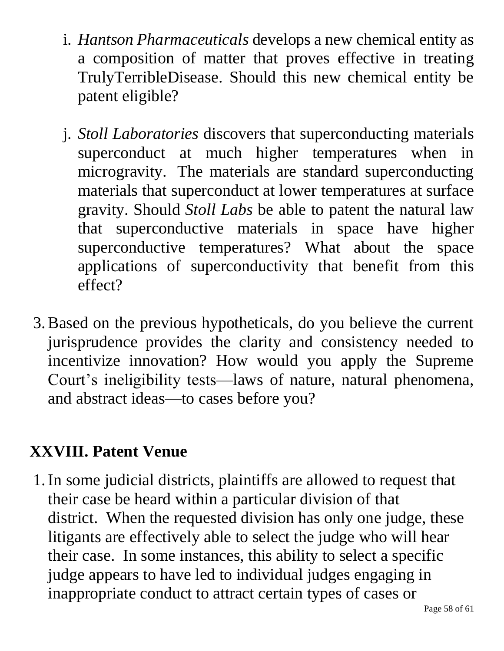- i. *Hantson Pharmaceuticals* develops a new chemical entity as a composition of matter that proves effective in treating TrulyTerribleDisease. Should this new chemical entity be patent eligible?
- j. *Stoll Laboratories* discovers that superconducting materials superconduct at much higher temperatures when in microgravity. The materials are standard superconducting materials that superconduct at lower temperatures at surface gravity. Should *Stoll Labs* be able to patent the natural law that superconductive materials in space have higher superconductive temperatures? What about the space applications of superconductivity that benefit from this effect?
- 3.Based on the previous hypotheticals, do you believe the current jurisprudence provides the clarity and consistency needed to incentivize innovation? How would you apply the Supreme Court's ineligibility tests—laws of nature, natural phenomena, and abstract ideas—to cases before you?

#### **XXVIII. Patent Venue**

1.In some judicial districts, plaintiffs are allowed to request that their case be heard within a particular division of that district. When the requested division has only one judge, these litigants are effectively able to select the judge who will hear their case. In some instances, this ability to select a specific judge appears to have led to individual judges engaging in inappropriate conduct to attract certain types of cases or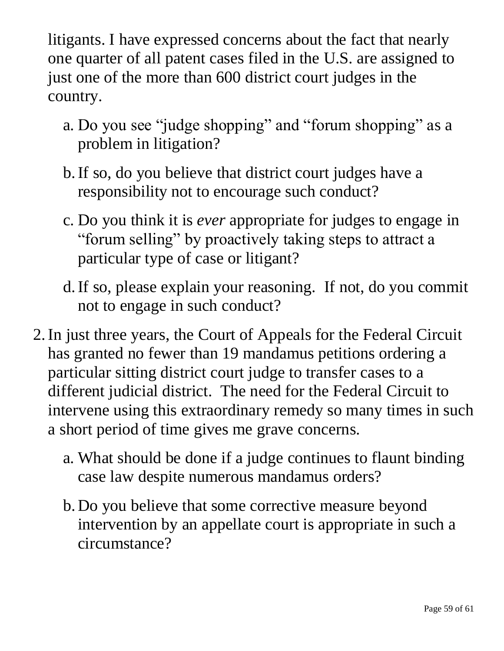litigants. I have expressed concerns about the fact that nearly one quarter of all patent cases filed in the U.S. are assigned to just one of the more than 600 district court judges in the country.

- a. Do you see "judge shopping" and "forum shopping" as a problem in litigation?
- b.If so, do you believe that district court judges have a responsibility not to encourage such conduct?
- c. Do you think it is *ever* appropriate for judges to engage in "forum selling" by proactively taking steps to attract a particular type of case or litigant?
- d.If so, please explain your reasoning. If not, do you commit not to engage in such conduct?
- 2.In just three years, the Court of Appeals for the Federal Circuit has granted no fewer than 19 mandamus petitions ordering a particular sitting district court judge to transfer cases to a different judicial district. The need for the Federal Circuit to intervene using this extraordinary remedy so many times in such a short period of time gives me grave concerns.
	- a. What should be done if a judge continues to flaunt binding case law despite numerous mandamus orders?
	- b. Do you believe that some corrective measure beyond intervention by an appellate court is appropriate in such a circumstance?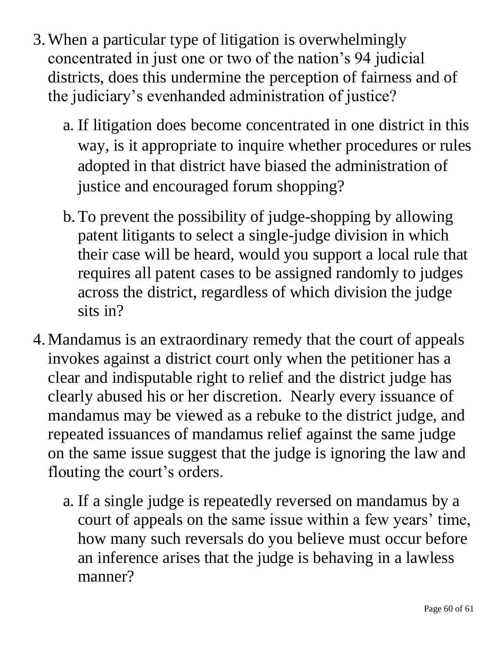- 3.When a particular type of litigation is overwhelmingly concentrated in just one or two of the nation's 94 judicial districts, does this undermine the perception of fairness and of the judiciary's evenhanded administration of justice?
	- a. If litigation does become concentrated in one district in this way, is it appropriate to inquire whether procedures or rules adopted in that district have biased the administration of justice and encouraged forum shopping?
	- b.To prevent the possibility of judge-shopping by allowing patent litigants to select a single-judge division in which their case will be heard, would you support a local rule that requires all patent cases to be assigned randomly to judges across the district, regardless of which division the judge sits in?
- 4.Mandamus is an extraordinary remedy that the court of appeals invokes against a district court only when the petitioner has a clear and indisputable right to relief and the district judge has clearly abused his or her discretion. Nearly every issuance of mandamus may be viewed as a rebuke to the district judge, and repeated issuances of mandamus relief against the same judge on the same issue suggest that the judge is ignoring the law and flouting the court's orders.
	- a. If a single judge is repeatedly reversed on mandamus by a court of appeals on the same issue within a few years' time, how many such reversals do you believe must occur before an inference arises that the judge is behaving in a lawless manner?